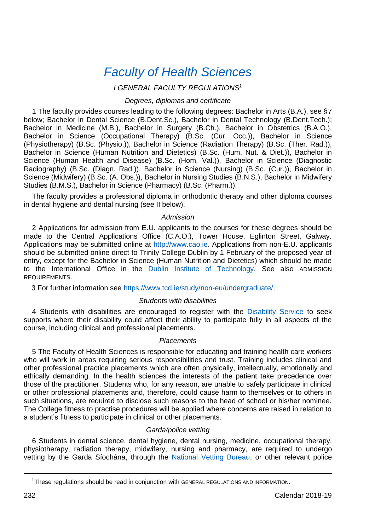# *[Faculty of Health Sciences](http://www.healthsciences.tcd.ie/)*

# *I GENERAL FACULTY REGULATIONS<sup>1</sup>*

#### *Degrees, diplomas and certificate*

1 The faculty provides courses leading to the following degrees: Bachelor in Arts (B.A.), see §7 below; Bachelor in Dental Science (B.Dent.Sc.), Bachelor in Dental Technology (B.Dent.Tech.); Bachelor in Medicine (M.B.), Bachelor in Surgery (B.Ch.), Bachelor in Obstetrics (B.A.O.), Bachelor in Science (Occupational Therapy) (B.Sc. (Cur. Occ.)), Bachelor in Science (Physiotherapy) (B.Sc. (Physio.)), Bachelor in Science (Radiation Therapy) (B.Sc. (Ther. Rad.)), Bachelor in Science (Human Nutrition and Dietetics) (B.Sc. (Hum. Nut. & Diet.)), Bachelor in Science (Human Health and Disease) (B.Sc. (Hom. Val.)), Bachelor in Science (Diagnostic Radiography) (B.Sc. (Diagn. Rad.)), Bachelor in Science (Nursing) (B.Sc. (Cur.)), Bachelor in Science (Midwifery) (B.Sc. (A. Obs.)), Bachelor in Nursing Studies (B.N.S.), Bachelor in Midwifery Studies (B.M.S.), Bachelor in Science (Pharmacy) (B.Sc. (Pharm.)).

The faculty provides a professional diploma in orthodontic therapy and other diploma courses in dental hygiene and dental nursing (see II below).

#### *Admission*

2 Applications for admission from E.U. applicants to the courses for these degrees should be made to the Central Applications Office (C.A.O.), Tower House, Eglinton Street, Galway. Applications may be submitted online at [http://www.cao.ie.](http://www.cao.ie/) Applications from non-E.U. applicants should be submitted online direct to Trinity College Dublin by 1 February of the proposed year of entry, except for the Bachelor in Science (Human Nutrition and Dietetics) which should be made to the International Office in the Dublin [Institute of Technology.](http://www.dit.ie/) See also ADMISSION REQUIREMENTS.

3 For further information se[e https://www.tcd.ie/study/non-eu/undergraduate/.](https://www.tcd.ie/study/non-eu/undergraduate/) 

# *Students with disabilities*

4 Students with disabilities are encouraged to register with the [Disability Service](https://www.tcd.ie/disability/) to seek supports where their disability could affect their ability to participate fully in all aspects of the course, including clinical and professional placements.

#### *Placements*

5 The Faculty of Health Sciences is responsible for educating and training health care workers who will work in areas requiring serious responsibilities and trust. Training includes clinical and other professional practice placements which are often physically, intellectually, emotionally and ethically demanding. In the health sciences the interests of the patient take precedence over those of the practitioner. Students who, for any reason, are unable to safely participate in clinical or other professional placements and, therefore, could cause harm to themselves or to others in such situations, are required to disclose such reasons to the head of school or his/her nominee. The College fitness to practise procedures will be applied where concerns are raised in relation to a student's fitness to participate in clinical or other placements.

#### *Garda/police vetting*

6 Students in dental science, dental hygiene, dental nursing, medicine, occupational therapy, physiotherapy, radiation therapy, midwifery, nursing and pharmacy, are required to undergo vetting by the Garda Síochána, through the [National Vetting Bureau,](https://vetting.garda.ie/) or other relevant police

<u>.</u>

<sup>1</sup>These regulations should be read in conjunction with GENERAL REGULATIONS AND INFORMATION.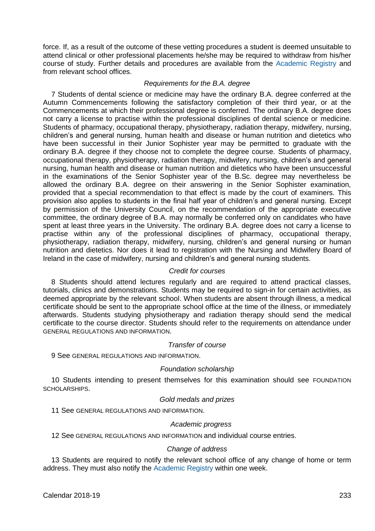force. If, as a result of the outcome of these vetting procedures a student is deemed unsuitable to attend clinical or other professional placements he/she may be required to withdraw from his/her course of study. Further details and procedures are available from the [Academic Registry](https://www.tcd.ie/academicregistry/) and from relevant school offices.

#### *Requirements for the B.A. degree*

7 Students of dental science or medicine may have the ordinary B.A. degree conferred at the Autumn Commencements following the satisfactory completion of their third year, or at the Commencements at which their professional degree is conferred. The ordinary B.A. degree does not carry a license to practise within the professional disciplines of dental science or medicine. Students of pharmacy, occupational therapy, physiotherapy, radiation therapy, midwifery, nursing, children's and general nursing, human health and disease or human nutrition and dietetics who have been successful in their Junior Sophister year may be permitted to graduate with the ordinary B.A. degree if they choose not to complete the degree course. Students of pharmacy, occupational therapy, physiotherapy, radiation therapy, midwifery, nursing, children's and general nursing, human health and disease or human nutrition and dietetics who have been unsuccessful in the examinations of the Senior Sophister year of the B.Sc. degree may nevertheless be allowed the ordinary B.A. degree on their answering in the Senior Sophister examination, provided that a special recommendation to that effect is made by the court of examiners. This provision also applies to students in the final half year of children's and general nursing. Except by permission of the University Council, on the recommendation of the appropriate executive committee, the ordinary degree of B.A. may normally be conferred only on candidates who have spent at least three years in the University. The ordinary B.A. degree does not carry a license to practise within any of the professional disciplines of pharmacy, occupational therapy, physiotherapy, radiation therapy, midwifery, nursing, children's and general nursing or human nutrition and dietetics. Nor does it lead to registration with the Nursing and Midwifery Board of Ireland in the case of midwifery, nursing and children's and general nursing students.

# *Credit for courses*

8 Students should attend lectures regularly and are required to attend practical classes, tutorials, clinics and demonstrations. Students may be required to sign-in for certain activities, as deemed appropriate by the relevant school. When students are absent through illness, a medical certificate should be sent to the appropriate school office at the time of the illness, or immediately afterwards. Students studying physiotherapy and radiation therapy should send the medical certificate to the course director. Students should refer to the requirements on attendance under GENERAL REGULATIONS AND INFORMATION.

# *Transfer of course*

9 See GENERAL REGULATIONS AND INFORMATION.

#### *Foundation scholarship*

10 Students intending to present themselves for this examination should see FOUNDATION SCHOLARSHIPS.

# *Gold medals and prizes*

11 See GENERAL REGULATIONS AND INFORMATION.

#### *Academic progress*

12 See GENERAL REGULATIONS AND INFORMATION and individual course entries.

#### *Change of address*

13 Students are required to notify the relevant school office of any change of home or term address. They must also notify th[e Academic Registry](https://www.tcd.ie/academicregistry/) within one week.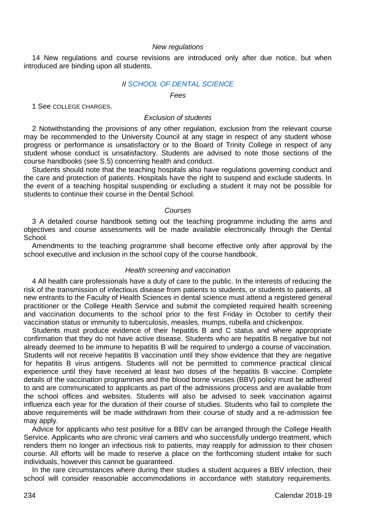#### *New regulations*

14 New regulations and course revisions are introduced only after due notice, but when introduced are binding upon all students.

#### *I[I SCHOOL OF DENTAL SCIENCE](http://www.tcd.ie/dental/)*

*Fees*

1 See COLLEGE CHARGES.

#### *Exclusion of students*

2 Notwithstanding the provisions of any other regulation, exclusion from the relevant course may be recommended to the University Council at any stage in respect of any student whose progress or performance is unsatisfactory or to the Board of Trinity College in respect of any student whose conduct is unsatisfactory. Students are advised to note those sections of the course handbooks (see S.5) concerning health and conduct.

Students should note that the teaching hospitals also have regulations governing conduct and the care and protection of patients. Hospitals have the right to suspend and exclude students. In the event of a teaching hospital suspending or excluding a student it may not be possible for students to continue their course in the Dental School.

#### *Courses*

3 A detailed course handbook setting out the teaching programme including the aims and objectives and course assessments will be made available electronically through the Dental School.

Amendments to the teaching programme shall become effective only after approval by the school executive and inclusion in the school copy of the course handbook.

#### *Health screening and vaccination*

4 All health care professionals have a duty of care to the public. In the interests of reducing the risk of the transmission of infectious disease from patients to students, or students to patients, all new entrants to the Faculty of Health Sciences in dental science must attend a registered general practitioner or the College Health Service and submit the completed required health screening and vaccination documents to the school prior to the first Friday in October to certify their vaccination status or immunity to tuberculosis, measles, mumps, rubella and chickenpox.

Students must produce evidence of their hepatitis B and C status and where appropriate confirmation that they do not have active disease. Students who are hepatitis B negative but not already deemed to be immune to hepatitis B will be required to undergo a course of vaccination. Students will not receive hepatitis B vaccination until they show evidence that they are negative for hepatitis B virus antigens. Students will not be permitted to commence practical clinical experience until they have received at least two doses of the hepatitis B vaccine. Complete details of the vaccination programmes and the blood borne viruses (BBV) policy must be adhered to and are communicated to applicants as part of the admissions process and are available from the school offices and websites. Students will also be advised to seek vaccination against influenza each year for the duration of their course of studies. Students who fail to complete the above requirements will be made withdrawn from their course of study and a re-admission fee may apply.

Advice for applicants who test positive for a BBV can be arranged through the College Health Service. Applicants who are chronic viral carriers and who successfully undergo treatment, which renders them no longer an infectious risk to patients, may reapply for admission to their chosen course. All efforts will be made to reserve a place on the forthcoming student intake for such individuals, however this cannot be guaranteed.

In the rare circumstances where during their studies a student acquires a BBV infection, their school will consider reasonable accommodations in accordance with statutory requirements.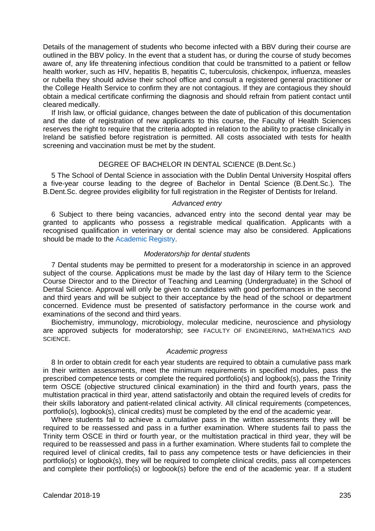Details of the management of students who become infected with a BBV during their course are outlined in the BBV policy. In the event that a student has, or during the course of study becomes aware of, any life threatening infectious condition that could be transmitted to a patient or fellow health worker, such as HIV, hepatitis B, hepatitis C, tuberculosis, chickenpox, influenza, measles or rubella they should advise their school office and consult a registered general practitioner or the College Health Service to confirm they are not contagious. If they are contagious they should obtain a medical certificate confirming the diagnosis and should refrain from patient contact until cleared medically.

If Irish law, or official guidance, changes between the date of publication of this documentation and the date of registration of new applicants to this course, the Faculty of Health Sciences reserves the right to require that the criteria adopted in relation to the ability to practise clinically in Ireland be satisfied before registration is permitted. All costs associated with tests for health screening and vaccination must be met by the student.

#### DEGREE OF BACHELOR IN DENTAL SCIENCE (B.Dent.Sc.)

5 The School of Dental Science in association with the Dublin Dental University Hospital offers a five-year course leading to the degree of Bachelor in Dental Science (B.Dent.Sc.). The B.Dent.Sc. degree provides eligibility for full registration in the Register of Dentists for Ireland.

#### *Advanced entry*

6 Subject to there being vacancies, advanced entry into the second dental year may be granted to applicants who possess a registrable medical qualification. Applicants with a recognised qualification in veterinary or dental science may also be considered. Applications should be made to th[e Academic Registry.](https://www.tcd.ie/academicregistry/)

#### *Moderatorship for dental students*

7 Dental students may be permitted to present for a moderatorship in science in an approved subject of the course. Applications must be made by the last day of Hilary term to the Science Course Director and to the Director of Teaching and Learning (Undergraduate) in the School of Dental Science. Approval will only be given to candidates with good performances in the second and third years and will be subject to their acceptance by the head of the school or department concerned. Evidence must be presented of satisfactory performance in the course work and examinations of the second and third years.

Biochemistry, immunology, microbiology, molecular medicine, neuroscience and physiology are approved subjects for moderatorship; see FACULTY OF ENGINEERING, MATHEMATICS AND SCIENCE.

# *Academic progress*

8 In order to obtain credit for each year students are required to obtain a cumulative pass mark in their written assessments, meet the minimum requirements in specified modules, pass the prescribed competence tests or complete the required portfolio(s) and logbook(s), pass the Trinity term OSCE (objective structured clinical examination) in the third and fourth years, pass the multistation practical in third year, attend satisfactorily and obtain the required levels of credits for their skills laboratory and patient-related clinical activity. All clinical requirements (competences, portfolio(s), logbook(s), clinical credits) must be completed by the end of the academic year.

Where students fail to achieve a cumulative pass in the written assessments they will be required to be reassessed and pass in a further examination. Where students fail to pass the Trinity term OSCE in third or fourth year, or the multistation practical in third year, they will be required to be reassessed and pass in a further examination. Where students fail to complete the required level of clinical credits, fail to pass any competence tests or have deficiencies in their portfolio(s) or logbook(s), they will be required to complete clinical credits, pass all competences and complete their portfolio(s) or logbook(s) before the end of the academic year. If a student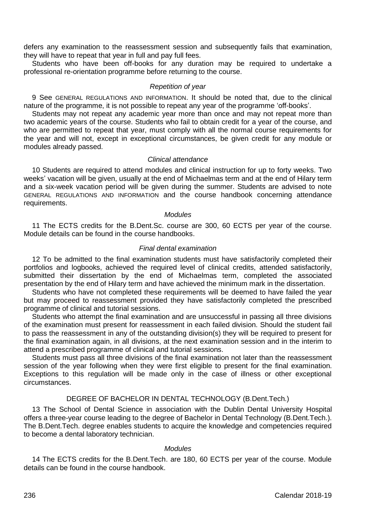defers any examination to the reassessment session and subsequently fails that examination, they will have to repeat that year in full and pay full fees.

Students who have been off-books for any duration may be required to undertake a professional re-orientation programme before returning to the course.

#### *Repetition of year*

9 See GENERAL REGULATIONS AND INFORMATION. It should be noted that, due to the clinical nature of the programme, it is not possible to repeat any year of the programme 'off-books'.

Students may not repeat any academic year more than once and may not repeat more than two academic years of the course. Students who fail to obtain credit for a year of the course, and who are permitted to repeat that year, must comply with all the normal course requirements for the year and will not, except in exceptional circumstances, be given credit for any module or modules already passed.

#### *Clinical attendance*

10 Students are required to attend modules and clinical instruction for up to forty weeks. Two weeks' vacation will be given, usually at the end of Michaelmas term and at the end of Hilary term and a six-week vacation period will be given during the summer. Students are advised to note GENERAL REGULATIONS AND INFORMATION and the course handbook concerning attendance requirements.

#### *Modules*

11 The ECTS credits for the B.Dent.Sc. course are 300, 60 ECTS per year of the course. Module details can be found in the course handbooks.

## *Final dental examination*

12 To be admitted to the final examination students must have satisfactorily completed their portfolios and logbooks, achieved the required level of clinical credits, attended satisfactorily, submitted their dissertation by the end of Michaelmas term, completed the associated presentation by the end of Hilary term and have achieved the minimum mark in the dissertation.

Students who have not completed these requirements will be deemed to have failed the year but may proceed to reassessment provided they have satisfactorily completed the prescribed programme of clinical and tutorial sessions.

Students who attempt the final examination and are unsuccessful in passing all three divisions of the examination must present for reassessment in each failed division. Should the student fail to pass the reassessment in any of the outstanding division(s) they will be required to present for the final examination again, in all divisions, at the next examination session and in the interim to attend a prescribed programme of clinical and tutorial sessions.

Students must pass all three divisions of the final examination not later than the reassessment session of the year following when they were first eligible to present for the final examination. Exceptions to this regulation will be made only in the case of illness or other exceptional circumstances.

# DEGREE OF BACHELOR IN DENTAL TECHNOLOGY (B.Dent.Tech.)

13 The School of Dental Science in association with the Dublin Dental University Hospital offers a three-year course leading to the degree of Bachelor in Dental Technology (B.Dent.Tech.). The B.Dent.Tech. degree enables students to acquire the knowledge and competencies required to become a dental laboratory technician.

# *Modules*

14 The ECTS credits for the B.Dent.Tech. are 180, 60 ECTS per year of the course. Module details can be found in the course handbook.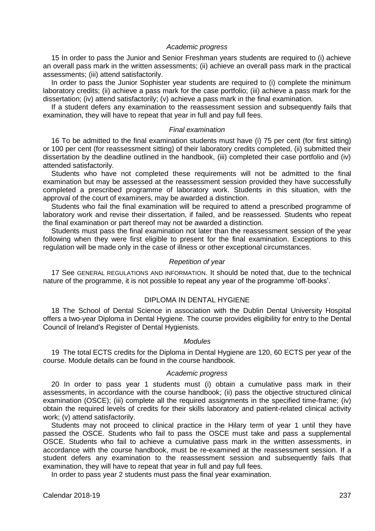# *Academic progress*

15 In order to pass the Junior and Senior Freshman years students are required to (i) achieve an overall pass mark in the written assessments; (ii) achieve an overall pass mark in the practical assessments; (iii) attend satisfactorily.

In order to pass the Junior Sophister year students are required to (i) complete the minimum laboratory credits; (ii) achieve a pass mark for the case portfolio; (iii) achieve a pass mark for the dissertation; (iv) attend satisfactorily; (v) achieve a pass mark in the final examination.

If a student defers any examination to the reassessment session and subsequently fails that examination, they will have to repeat that year in full and pay full fees.

#### *Final examination*

16 To be admitted to the final examination students must have (i) 75 per cent (for first sitting) or 100 per cent (for reassessment sitting) of their laboratory credits completed, (ii) submitted their dissertation by the deadline outlined in the handbook, (iii) completed their case portfolio and (iv) attended satisfactorily.

Students who have not completed these requirements will not be admitted to the final examination but may be assessed at the reassessment session provided they have successfully completed a prescribed programme of laboratory work. Students in this situation, with the approval of the court of examiners, may be awarded a distinction.

Students who fail the final examination will be required to attend a prescribed programme of laboratory work and revise their dissertation, if failed, and be reassessed. Students who repeat the final examination or part thereof may not be awarded a distinction.

Students must pass the final examination not later than the reassessment session of the year following when they were first eligible to present for the final examination. Exceptions to this regulation will be made only in the case of illness or other exceptional circumstances.

#### *Repetition of year*

17 See GENERAL REGULATIONS AND INFORMATION. It should be noted that, due to the technical nature of the programme, it is not possible to repeat any year of the programme 'off-books'.

#### DIPLOMA IN DENTAL HYGIENE

18 The School of Dental Science in association with the Dublin Dental University Hospital offers a two-year Diploma in Dental Hygiene. The course provides eligibility for entry to the Dental Council of Ireland's Register of Dental Hygienists.

#### *Modules*

19 The total ECTS credits for the Diploma in Dental Hygiene are 120, 60 ECTS per year of the course. Module details can be found in the course handbook.

#### *Academic progress*

20 In order to pass year 1 students must (i) obtain a cumulative pass mark in their assessments, in accordance with the course handbook; (ii) pass the objective structured clinical examination (OSCE); (iii) complete all the required assignments in the specified time-frame; (iv) obtain the required levels of credits for their skills laboratory and patient-related clinical activity work; (v) attend satisfactorily.

Students may not proceed to clinical practice in the Hilary term of year 1 until they have passed the OSCE. Students who fail to pass the OSCE must take and pass a supplemental OSCE. Students who fail to achieve a cumulative pass mark in the written assessments, in accordance with the course handbook, must be re-examined at the reassessment session. If a student defers any examination to the reassessment session and subsequently fails that examination, they will have to repeat that year in full and pay full fees.

In order to pass year 2 students must pass the final year examination.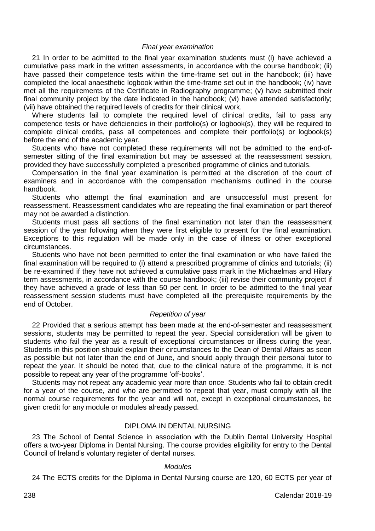#### *Final year examination*

21 In order to be admitted to the final year examination students must (i) have achieved a cumulative pass mark in the written assessments, in accordance with the course handbook; (ii) have passed their competence tests within the time-frame set out in the handbook; (iii) have completed the local anaesthetic logbook within the time-frame set out in the handbook; (iv) have met all the requirements of the Certificate in Radiography programme; (v) have submitted their final community project by the date indicated in the handbook; (vi) have attended satisfactorily; (vii) have obtained the required levels of credits for their clinical work.

Where students fail to complete the required level of clinical credits, fail to pass any competence tests or have deficiencies in their portfolio(s) or logbook(s), they will be required to complete clinical credits, pass all competences and complete their portfolio(s) or logbook(s) before the end of the academic year.

Students who have not completed these requirements will not be admitted to the end-ofsemester sitting of the final examination but may be assessed at the reassessment session, provided they have successfully completed a prescribed programme of clinics and tutorials.

Compensation in the final year examination is permitted at the discretion of the court of examiners and in accordance with the compensation mechanisms outlined in the course handbook.

Students who attempt the final examination and are unsuccessful must present for reassessment. Reassessment candidates who are repeating the final examination or part thereof may not be awarded a distinction.

Students must pass all sections of the final examination not later than the reassessment session of the year following when they were first eligible to present for the final examination. Exceptions to this regulation will be made only in the case of illness or other exceptional circumstances.

Students who have not been permitted to enter the final examination or who have failed the final examination will be required to (i) attend a prescribed programme of clinics and tutorials; (ii) be re-examined if they have not achieved a cumulative pass mark in the Michaelmas and Hilary term assessments, in accordance with the course handbook; (iii) revise their community project if they have achieved a grade of less than 50 per cent. In order to be admitted to the final year reassessment session students must have completed all the prerequisite requirements by the end of October.

# *Repetition of year*

22 Provided that a serious attempt has been made at the end-of-semester and reassessment sessions, students may be permitted to repeat the year. Special consideration will be given to students who fail the year as a result of exceptional circumstances or illness during the year. Students in this position should explain their circumstances to the Dean of Dental Affairs as soon as possible but not later than the end of June, and should apply through their personal tutor to repeat the year. It should be noted that, due to the clinical nature of the programme, it is not possible to repeat any year of the programme 'off-books'.

Students may not repeat any academic year more than once. Students who fail to obtain credit for a year of the course, and who are permitted to repeat that year, must comply with all the normal course requirements for the year and will not, except in exceptional circumstances, be given credit for any module or modules already passed.

# DIPLOMA IN DENTAL NURSING

23 The School of Dental Science in association with the Dublin Dental University Hospital offers a two-year Diploma in Dental Nursing. The course provides eligibility for entry to the Dental Council of Ireland's voluntary register of dental nurses.

#### *Modules*

24 The ECTS credits for the Diploma in Dental Nursing course are 120, 60 ECTS per year of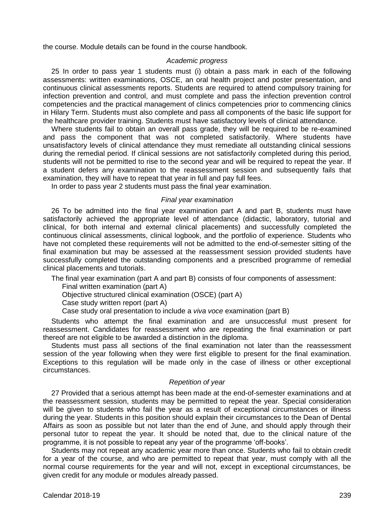the course. Module details can be found in the course handbook.

#### *Academic progress*

25 In order to pass year 1 students must (i) obtain a pass mark in each of the following assessments: written examinations, OSCE, an oral health project and poster presentation, and continuous clinical assessments reports. Students are required to attend compulsory training for infection prevention and control, and must complete and pass the infection prevention control competencies and the practical management of clinics competencies prior to commencing clinics in Hilary Term. Students must also complete and pass all components of the basic life support for the healthcare provider training. Students must have satisfactory levels of clinical attendance.

Where students fail to obtain an overall pass grade, they will be required to be re-examined and pass the component that was not completed satisfactorily. Where students have unsatisfactory levels of clinical attendance they must remediate all outstanding clinical sessions during the remedial period. If clinical sessions are not satisfactorily completed during this period, students will not be permitted to rise to the second year and will be required to repeat the year. If a student defers any examination to the reassessment session and subsequently fails that examination, they will have to repeat that year in full and pay full fees.

In order to pass year 2 students must pass the final year examination.

#### *Final year examination*

26 To be admitted into the final year examination part A and part B, students must have satisfactorily achieved the appropriate level of attendance (didactic, laboratory, tutorial and clinical, for both internal and external clinical placements) and successfully completed the continuous clinical assessments, clinical logbook, and the portfolio of experience. Students who have not completed these requirements will not be admitted to the end-of-semester sitting of the final examination but may be assessed at the reassessment session provided students have successfully completed the outstanding components and a prescribed programme of remedial clinical placements and tutorials.

The final year examination (part A and part B) consists of four components of assessment:

Final written examination (part A)

Objective structured clinical examination (OSCE) (part A)

Case study written report (part A)

Case study oral presentation to include a *viva voce* examination (part B)

Students who attempt the final examination and are unsuccessful must present for reassessment. Candidates for reassessment who are repeating the final examination or part thereof are not eligible to be awarded a distinction in the diploma.

Students must pass all sections of the final examination not later than the reassessment session of the year following when they were first eligible to present for the final examination. Exceptions to this regulation will be made only in the case of illness or other exceptional circumstances.

#### *Repetition of year*

27 Provided that a serious attempt has been made at the end-of-semester examinations and at the reassessment session, students may be permitted to repeat the year. Special consideration will be given to students who fail the year as a result of exceptional circumstances or illness during the year. Students in this position should explain their circumstances to the Dean of Dental Affairs as soon as possible but not later than the end of June, and should apply through their personal tutor to repeat the year. It should be noted that, due to the clinical nature of the programme, it is not possible to repeat any year of the programme 'off-books'.

Students may not repeat any academic year more than once. Students who fail to obtain credit for a year of the course, and who are permitted to repeat that year, must comply with all the normal course requirements for the year and will not, except in exceptional circumstances, be given credit for any module or modules already passed.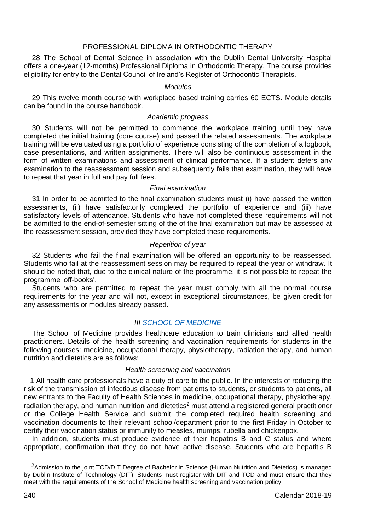# PROFESSIONAL DIPLOMA IN ORTHODONTIC THERAPY

28 The School of Dental Science in association with the Dublin Dental University Hospital offers a one-year (12-months) Professional Diploma in Orthodontic Therapy. The course provides eligibility for entry to the Dental Council of Ireland's Register of Orthodontic Therapists.

#### *Modules*

29 This twelve month course with workplace based training carries 60 ECTS. Module details can be found in the course handbook.

# *Academic progress*

30 Students will not be permitted to commence the workplace training until they have completed the initial training (core course) and passed the related assessments. The workplace training will be evaluated using a portfolio of experience consisting of the completion of a logbook, case presentations, and written assignments. There will also be continuous assessment in the form of written examinations and assessment of clinical performance. If a student defers any examination to the reassessment session and subsequently fails that examination, they will have to repeat that year in full and pay full fees.

#### *Final examination*

31 In order to be admitted to the final examination students must (i) have passed the written assessments, (ii) have satisfactorily completed the portfolio of experience and (iii) have satisfactory levels of attendance. Students who have not completed these requirements will not be admitted to the end-of-semester sitting of the of the final examination but may be assessed at the reassessment session, provided they have completed these requirements.

#### *Repetition of year*

32 Students who fail the final examination will be offered an opportunity to be reassessed. Students who fail at the reassessment session may be required to repeat the year or withdraw. It should be noted that, due to the clinical nature of the programme, it is not possible to repeat the programme 'off-books'.

Students who are permitted to repeat the year must comply with all the normal course requirements for the year and will not, except in exceptional circumstances, be given credit for any assessments or modules already passed.

#### *III [SCHOOL OF MEDICINE](http://medicine.tcd.ie/)*

The School of Medicine provides healthcare education to train clinicians and allied health practitioners. Details of the health screening and vaccination requirements for students in the following courses: medicine, occupational therapy, physiotherapy, radiation therapy, and human nutrition and dietetics are as follows:

#### *Health screening and vaccination*

1 All health care professionals have a duty of care to the public. In the interests of reducing the risk of the transmission of infectious disease from patients to students, or students to patients, all new entrants to the Faculty of Health Sciences in medicine, occupational therapy, physiotherapy, radiation therapy, and human nutrition and dietetics<sup>2</sup> must attend a registered general practitioner or the College Health Service and submit the completed required health screening and vaccination documents to their relevant school/department prior to the first Friday in October to certify their vaccination status or immunity to measles, mumps, rubella and chickenpox.

In addition, students must produce evidence of their hepatitis B and C status and where appropriate, confirmation that they do not have active disease. Students who are hepatitis B

<u>.</u>

<sup>&</sup>lt;sup>2</sup>Admission to the joint TCD/DIT Degree of Bachelor in Science (Human Nutrition and Dietetics) is managed by Dublin Institute of Technology (DIT). Students must register with DIT and TCD and must ensure that they meet with the requirements of the School of Medicine health screening and vaccination policy.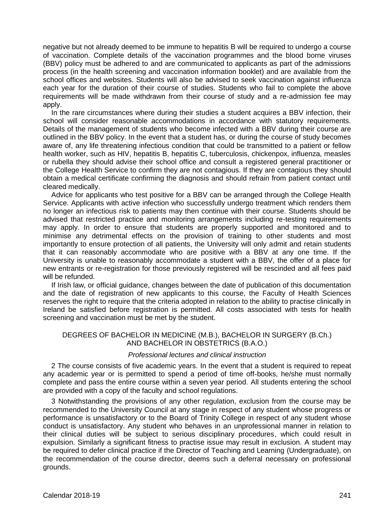negative but not already deemed to be immune to hepatitis B will be required to undergo a course of vaccination. Complete details of the vaccination programmes and the blood borne viruses (BBV) policy must be adhered to and are communicated to applicants as part of the admissions process (in the health screening and vaccination information booklet) and are available from the school offices and websites. Students will also be advised to seek vaccination against influenza each year for the duration of their course of studies. Students who fail to complete the above requirements will be made withdrawn from their course of study and a re-admission fee may apply.

In the rare circumstances where during their studies a student acquires a BBV infection, their school will consider reasonable accommodations in accordance with statutory requirements. Details of the management of students who become infected with a BBV during their course are outlined in the BBV policy. In the event that a student has, or during the course of study becomes aware of, any life threatening infectious condition that could be transmitted to a patient or fellow health worker, such as HIV, hepatitis B, hepatitis C, tuberculosis, chickenpox, influenza, measles or rubella they should advise their school office and consult a registered general practitioner or the College Health Service to confirm they are not contagious. If they are contagious they should obtain a medical certificate confirming the diagnosis and should refrain from patient contact until cleared medically.

Advice for applicants who test positive for a BBV can be arranged through the College Health Service. Applicants with active infection who successfully undergo treatment which renders them no longer an infectious risk to patients may then continue with their course. Students should be advised that restricted practice and monitoring arrangements including re-testing requirements may apply. In order to ensure that students are properly supported and monitored and to minimise any detrimental effects on the provision of training to other students and most importantly to ensure protection of all patients, the University will only admit and retain students that it can reasonably accommodate who are positive with a BBV at any one time. If the University is unable to reasonably accommodate a student with a BBV, the offer of a place for new entrants or re-registration for those previously registered will be rescinded and all fees paid will be refunded.

If Irish law, or official guidance, changes between the date of publication of this documentation and the date of registration of new applicants to this course, the Faculty of Health Sciences reserves the right to require that the criteria adopted in relation to the ability to practise clinically in Ireland be satisfied before registration is permitted. All costs associated with tests for health screening and vaccination must be met by the student.

#### DEGREES OF BACHELOR IN MEDICINE (M.B.), BACHELOR IN SURGERY (B.Ch.) AND BACHELOR IN OBSTETRICS (B.A.O.)

# *Professional lectures and clinical instruction*

2 The course consists of five academic years. In the event that a student is required to repeat any academic year or is permitted to spend a period of time off-books, he/she must normally complete and pass the entire course within a seven year period. All students entering the school are provided with a copy of the faculty and school regulations.

3 Notwithstanding the provisions of any other regulation, exclusion from the course may be recommended to the University Council at any stage in respect of any student whose progress or performance is unsatisfactory or to the Board of Trinity College in respect of any student whose conduct is unsatisfactory. Any student who behaves in an unprofessional manner in relation to their clinical duties will be subject to serious disciplinary procedures, which could result in expulsion. Similarly a significant fitness to practise issue may result in exclusion. A student may be required to defer clinical practice if the Director of Teaching and Learning (Undergraduate), on the recommendation of the course director, deems such a deferral necessary on professional grounds.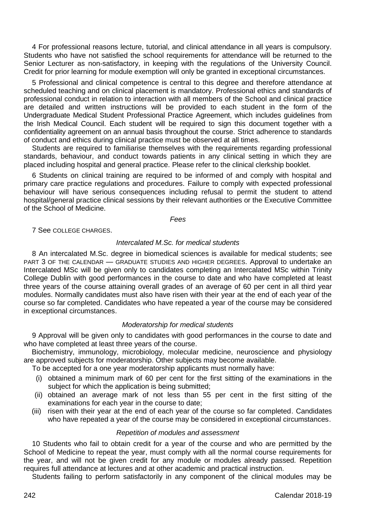4 For professional reasons lecture, tutorial, and clinical attendance in all years is compulsory. Students who have not satisfied the school requirements for attendance will be returned to the Senior Lecturer as non-satisfactory, in keeping with the regulations of the University Council. Credit for prior learning for module exemption will only be granted in exceptional circumstances.

5 Professional and clinical competence is central to this degree and therefore attendance at scheduled teaching and on clinical placement is mandatory. Professional ethics and standards of professional conduct in relation to interaction with all members of the School and clinical practice are detailed and written instructions will be provided to each student in the form of the Undergraduate Medical Student Professional Practice Agreement, which includes guidelines from the Irish Medical Council. Each student will be required to sign this document together with a confidentiality agreement on an annual basis throughout the course. Strict adherence to standards of conduct and ethics during clinical practice must be observed at all times.

Students are required to familiarise themselves with the requirements regarding professional standards, behaviour, and conduct towards patients in any clinical setting in which they are placed including hospital and general practice. Please refer to the clinical clerkship booklet.

6 Students on clinical training are required to be informed of and comply with hospital and primary care practice regulations and procedures. Failure to comply with expected professional behaviour will have serious consequences including refusal to permit the student to attend hospital/general practice clinical sessions by their relevant authorities or the Executive Committee of the School of Medicine.

*Fees*

7 See COLLEGE CHARGES.

# *Intercalated M.Sc. for medical students*

8 An intercalated M.Sc. degree in biomedical sciences is available for medical students; see PART 3 OF THE CALENDAR — GRADUATE STUDIES AND HIGHER DEGREES. Approval to undertake an Intercalated MSc will be given only to candidates completing an Intercalated MSc within Trinity College Dublin with good performances in the course to date and who have completed at least three years of the course attaining overall grades of an average of 60 per cent in all third year modules. Normally candidates must also have risen with their year at the end of each year of the course so far completed. Candidates who have repeated a year of the course may be considered in exceptional circumstances.

#### *Moderatorship for medical students*

9 Approval will be given only to candidates with good performances in the course to date and who have completed at least three years of the course.

Biochemistry, immunology, microbiology, molecular medicine, neuroscience and physiology are approved subjects for moderatorship. Other subjects may become available.

To be accepted for a one year moderatorship applicants must normally have:

- (i) obtained a minimum mark of 60 per cent for the first sitting of the examinations in the subject for which the application is being submitted;
- (ii) obtained an average mark of not less than 55 per cent in the first sitting of the examinations for each year in the course to date;
- (iii) risen with their year at the end of each year of the course so far completed. Candidates who have repeated a year of the course may be considered in exceptional circumstances.

# *Repetition of modules and assessment*

10 Students who fail to obtain credit for a year of the course and who are permitted by the School of Medicine to repeat the year, must comply with all the normal course requirements for the year, and will not be given credit for any module or modules already passed. Repetition requires full attendance at lectures and at other academic and practical instruction.

Students failing to perform satisfactorily in any component of the clinical modules may be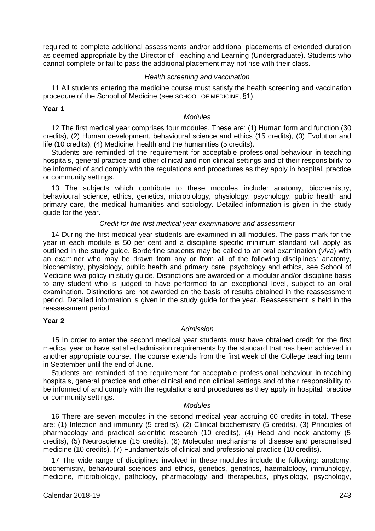required to complete additional assessments and/or additional placements of extended duration as deemed appropriate by the Director of Teaching and Learning (Undergraduate). Students who cannot complete or fail to pass the additional placement may not rise with their class.

#### *Health screening and vaccination*

11 All students entering the medicine course must satisfy the health screening and vaccination procedure of the School of Medicine (see SCHOOL OF MEDICINE, §1).

#### **Year 1**

#### *Modules*

12 The first medical year comprises four modules. These are: (1) Human form and function (30 credits), (2) Human development, behavioural science and ethics (15 credits), (3) Evolution and life (10 credits), (4) Medicine, health and the humanities (5 credits).

Students are reminded of the requirement for acceptable professional behaviour in teaching hospitals, general practice and other clinical and non clinical settings and of their responsibility to be informed of and comply with the regulations and procedures as they apply in hospital, practice or community settings.

13 The subjects which contribute to these modules include: anatomy, biochemistry, behavioural science, ethics, genetics, microbiology, physiology, psychology, public health and primary care, the medical humanities and sociology. Detailed information is given in the study guide for the year.

#### *Credit for the first medical year examinations and assessment*

14 During the first medical year students are examined in all modules. The pass mark for the year in each module is 50 per cent and a discipline specific minimum standard will apply as outlined in the study guide. Borderline students may be called to an oral examination (*viva*) with an examiner who may be drawn from any or from all of the following disciplines: anatomy, biochemistry, physiology, public health and primary care, psychology and ethics, see School of Medicine *viva* policy in study guide. Distinctions are awarded on a modular and/or discipline basis to any student who is judged to have performed to an exceptional level, subject to an oral examination. Distinctions are not awarded on the basis of results obtained in the reassessment period. Detailed information is given in the study guide for the year. Reassessment is held in the reassessment period.

#### **Year 2**

#### *Admission*

15 In order to enter the second medical year students must have obtained credit for the first medical year or have satisfied admission requirements by the standard that has been achieved in another appropriate course. The course extends from the first week of the College teaching term in September until the end of June.

Students are reminded of the requirement for acceptable professional behaviour in teaching hospitals, general practice and other clinical and non clinical settings and of their responsibility to be informed of and comply with the regulations and procedures as they apply in hospital, practice or community settings.

#### *Modules*

16 There are seven modules in the second medical year accruing 60 credits in total. These are: (1) Infection and immunity (5 credits), (2) Clinical biochemistry (5 credits), (3) Principles of pharmacology and practical scientific research (10 credits), (4) Head and neck anatomy (5 credits), (5) Neuroscience (15 credits), (6) Molecular mechanisms of disease and personalised medicine (10 credits), (7) Fundamentals of clinical and professional practice (10 credits).

17 The wide range of disciplines involved in these modules include the following: anatomy, biochemistry, behavioural sciences and ethics, genetics, geriatrics, haematology, immunology, medicine, microbiology, pathology, pharmacology and therapeutics, physiology, psychology,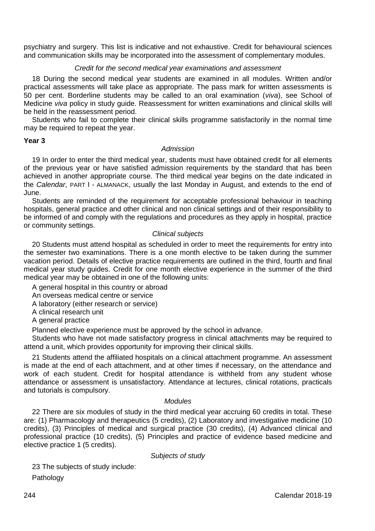psychiatry and surgery. This list is indicative and not exhaustive. Credit for behavioural sciences and communication skills may be incorporated into the assessment of complementary modules.

# *Credit for the second medical year examinations and assessment*

18 During the second medical year students are examined in all modules. Written and/or practical assessments will take place as appropriate. The pass mark for written assessments is 50 per cent. Borderline students may be called to an oral examination (*viva*), see School of Medicine *viva* policy in study guide. Reassessment for written examinations and clinical skills will be held in the reassessment period.

Students who fail to complete their clinical skills programme satisfactorily in the normal time may be required to repeat the year.

#### **Year 3**

#### *Admission*

19 In order to enter the third medical year, students must have obtained credit for all elements of the previous year or have satisfied admission requirements by the standard that has been achieved in another appropriate course. The third medical year begins on the date indicated in the *Calendar*, PART I - ALMANACK, usually the last Monday in August, and extends to the end of June.

Students are reminded of the requirement for acceptable professional behaviour in teaching hospitals, general practice and other clinical and non clinical settings and of their responsibility to be informed of and comply with the regulations and procedures as they apply in hospital, practice or community settings.

# *Clinical subjects*

20 Students must attend hospital as scheduled in order to meet the requirements for entry into the semester two examinations. There is a one month elective to be taken during the summer vacation period. Details of elective practice requirements are outlined in the third, fourth and final medical year study guides. Credit for one month elective experience in the summer of the third medical vear may be obtained in one of the following units:

A general hospital in this country or abroad An overseas medical centre or service A laboratory (either research or service) A clinical research unit A general practice

Planned elective experience must be approved by the school in advance.

Students who have not made satisfactory progress in clinical attachments may be required to attend a unit, which provides opportunity for improving their clinical skills.

21 Students attend the affiliated hospitals on a clinical attachment programme. An assessment is made at the end of each attachment, and at other times if necessary, on the attendance and work of each student. Credit for hospital attendance is withheld from any student whose attendance or assessment is unsatisfactory. Attendance at lectures, clinical rotations, practicals and tutorials is compulsory.

# *Modules*

22 There are six modules of study in the third medical year accruing 60 credits in total. These are: (1) Pharmacology and therapeutics (5 credits), (2) Laboratory and investigative medicine (10 credits), (3) Principles of medical and surgical practice (30 credits), (4) Advanced clinical and professional practice (10 credits), (5) Principles and practice of evidence based medicine and elective practice 1 (5 credits).

*Subjects of study*

23 The subjects of study include:

Pathology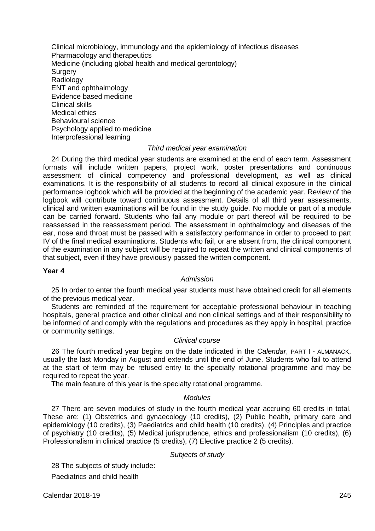Clinical microbiology, immunology and the epidemiology of infectious diseases Pharmacology and therapeutics Medicine (including global health and medical gerontology) **Surgery** Radiology ENT and ophthalmology Evidence based medicine Clinical skills Medical ethics Behavioural science Psychology applied to medicine Interprofessional learning

#### *Third medical year examination*

24 During the third medical year students are examined at the end of each term. Assessment formats will include written papers, project work, poster presentations and continuous assessment of clinical competency and professional development, as well as clinical examinations. It is the responsibility of all students to record all clinical exposure in the clinical performance logbook which will be provided at the beginning of the academic year. Review of the logbook will contribute toward continuous assessment. Details of all third year assessments, clinical and written examinations will be found in the study guide. No module or part of a module can be carried forward. Students who fail any module or part thereof will be required to be reassessed in the reassessment period. The assessment in ophthalmology and diseases of the ear, nose and throat must be passed with a satisfactory performance in order to proceed to part IV of the final medical examinations. Students who fail, or are absent from, the clinical component of the examination in any subject will be required to repeat the written and clinical components of that subject, even if they have previously passed the written component.

#### **Year 4**

#### *Admission*

25 In order to enter the fourth medical year students must have obtained credit for all elements of the previous medical year.

Students are reminded of the requirement for acceptable professional behaviour in teaching hospitals, general practice and other clinical and non clinical settings and of their responsibility to be informed of and comply with the regulations and procedures as they apply in hospital, practice or community settings.

#### *Clinical course*

26 The fourth medical year begins on the date indicated in the *Calendar*, PART I - ALMANACK, usually the last Monday in August and extends until the end of June. Students who fail to attend at the start of term may be refused entry to the specialty rotational programme and may be required to repeat the year.

The main feature of this year is the specialty rotational programme.

#### *Modules*

27 There are seven modules of study in the fourth medical year accruing 60 credits in total. These are: (1) Obstetrics and gynaecology (10 credits), (2) Public health, primary care and epidemiology (10 credits), (3) Paediatrics and child health (10 credits), (4) Principles and practice of psychiatry (10 credits), (5) Medical jurisprudence, ethics and professionalism (10 credits), (6) Professionalism in clinical practice (5 credits), (7) Elective practice 2 (5 credits).

# *Subjects of study*

28 The subjects of study include:

Paediatrics and child health

Calendar 2018-19 245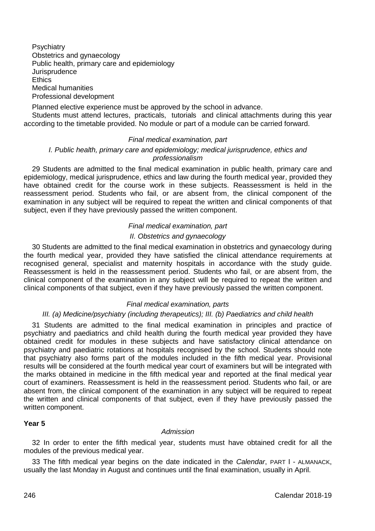**Psychiatry** Obstetrics and gynaecology Public health, primary care and epidemiology **Jurisprudence Ethics** Medical humanities Professional development

Planned elective experience must be approved by the school in advance.

Students must attend lectures, practicals, tutorials and clinical attachments during this year according to the timetable provided. No module or part of a module can be carried forward.

#### *Final medical examination, part*

#### *I. Public health, primary care and epidemiology; medical jurisprudence, ethics and professionalism*

29 Students are admitted to the final medical examination in public health, primary care and epidemiology, medical jurisprudence, ethics and law during the fourth medical year, provided they have obtained credit for the course work in these subjects. Reassessment is held in the reassessment period. Students who fail, or are absent from, the clinical component of the examination in any subject will be required to repeat the written and clinical components of that subject, even if they have previously passed the written component.

#### *Final medical examination, part*

# *II. Obstetrics and gynaecology*

30 Students are admitted to the final medical examination in obstetrics and gynaecology during the fourth medical year, provided they have satisfied the clinical attendance requirements at recognised general, specialist and maternity hospitals in accordance with the study guide. Reassessment is held in the reassessment period. Students who fail, or are absent from, the clinical component of the examination in any subject will be required to repeat the written and clinical components of that subject, even if they have previously passed the written component.

#### *Final medical examination, parts*

# *III. (a) Medicine/psychiatry (including therapeutics); III. (b) Paediatrics and child health*

31 Students are admitted to the final medical examination in principles and practice of psychiatry and paediatrics and child health during the fourth medical year provided they have obtained credit for modules in these subjects and have satisfactory clinical attendance on psychiatry and paediatric rotations at hospitals recognised by the school. Students should note that psychiatry also forms part of the modules included in the fifth medical year. Provisional results will be considered at the fourth medical year court of examiners but will be integrated with the marks obtained in medicine in the fifth medical year and reported at the final medical year court of examiners. Reassessment is held in the reassessment period. Students who fail, or are absent from, the clinical component of the examination in any subject will be required to repeat the written and clinical components of that subject, even if they have previously passed the written component.

#### **Year 5**

#### *Admission*

32 In order to enter the fifth medical year, students must have obtained credit for all the modules of the previous medical year.

33 The fifth medical year begins on the date indicated in the *Calendar*, PART I - ALMANACK, usually the last Monday in August and continues until the final examination, usually in April.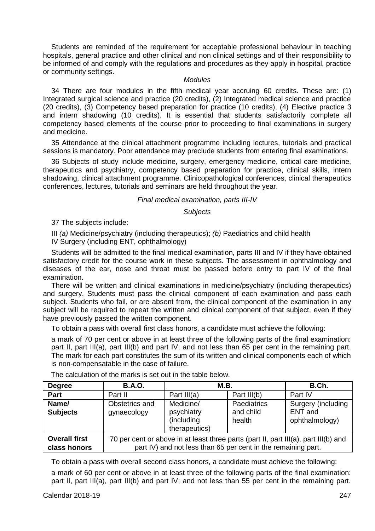Students are reminded of the requirement for acceptable professional behaviour in teaching hospitals, general practice and other clinical and non clinical settings and of their responsibility to be informed of and comply with the regulations and procedures as they apply in hospital, practice or community settings.

#### *Modules*

34 There are four modules in the fifth medical year accruing 60 credits. These are: (1) Integrated surgical science and practice (20 credits), (2) Integrated medical science and practice (20 credits), (3) Competency based preparation for practice (10 credits), (4) Elective practice 3 and intern shadowing (10 credits). It is essential that students satisfactorily complete all competency based elements of the course prior to proceeding to final examinations in surgery and medicine.

35 Attendance at the clinical attachment programme including lectures, tutorials and practical sessions is mandatory. Poor attendance may preclude students from entering final examinations.

36 Subjects of study include medicine, surgery, emergency medicine, critical care medicine, therapeutics and psychiatry, competency based preparation for practice, clinical skills, intern shadowing, clinical attachment programme. Clinicopathological conferences, clinical therapeutics conferences, lectures, tutorials and seminars are held throughout the year.

#### *Final medical examination, parts III-IV*

#### *Subjects*

37 The subjects include:

III *(a)* Medicine/psychiatry (including therapeutics); *(b)* Paediatrics and child health

IV Surgery (including ENT, ophthalmology)

Students will be admitted to the final medical examination, parts III and IV if they have obtained satisfactory credit for the course work in these subjects. The assessment in ophthalmology and diseases of the ear, nose and throat must be passed before entry to part IV of the final examination.

There will be written and clinical examinations in medicine/psychiatry (including therapeutics) and surgery. Students must pass the clinical component of each examination and pass each subject. Students who fail, or are absent from, the clinical component of the examination in any subject will be required to repeat the written and clinical component of that subject, even if they have previously passed the written component.

To obtain a pass with overall first class honors, a candidate must achieve the following:

a mark of 70 per cent or above in at least three of the following parts of the final examination: part II, part III(a), part III(b) and part IV; and not less than 65 per cent in the remaining part. The mark for each part constitutes the sum of its written and clinical components each of which is non-compensatable in the case of failure.

| <b>Degree</b>                        | <b>B.A.O.</b>                                                                                                                                        | <b>M.B.</b>                                            |                                    | B.Ch.                                           |  |
|--------------------------------------|------------------------------------------------------------------------------------------------------------------------------------------------------|--------------------------------------------------------|------------------------------------|-------------------------------------------------|--|
| Part                                 | Part II                                                                                                                                              | Part III(a)                                            | Part III(b)                        | Part IV                                         |  |
| Name/<br><b>Subjects</b>             | Obstetrics and<br>gynaecology                                                                                                                        | Medicine/<br>psychiatry<br>(including<br>therapeutics) | Paediatrics<br>and child<br>health | Surgery (including<br>ENT and<br>ophthalmology) |  |
| <b>Overall first</b><br>class honors | 70 per cent or above in at least three parts (part II, part III(a), part III(b) and<br>part IV) and not less than 65 per cent in the remaining part. |                                                        |                                    |                                                 |  |

The calculation of the marks is set out in the table below.

To obtain a pass with overall second class honors, a candidate must achieve the following:

a mark of 60 per cent or above in at least three of the following parts of the final examination: part II, part III(a), part III(b) and part IV; and not less than 55 per cent in the remaining part.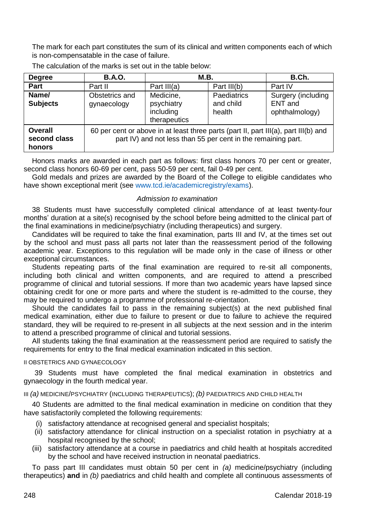The mark for each part constitutes the sum of its clinical and written components each of which is non-compensatable in the case of failure.

| <b>Degree</b>                     | <b>B.A.O.</b>                                                                                                                                        | M.B.                                                 |                                    | B.Ch.                                           |  |
|-----------------------------------|------------------------------------------------------------------------------------------------------------------------------------------------------|------------------------------------------------------|------------------------------------|-------------------------------------------------|--|
| Part                              | Part II                                                                                                                                              | Part III(a)                                          | Part III(b)                        | Part IV                                         |  |
| Name/<br><b>Subjects</b>          | Obstetrics and<br>gynaecology                                                                                                                        | Medicine.<br>psychiatry<br>including<br>therapeutics | Paediatrics<br>and child<br>health | Surgery (including<br>ENT and<br>ophthalmology) |  |
| Overall<br>second class<br>honors | 60 per cent or above in at least three parts (part II, part III(a), part III(b) and<br>part IV) and not less than 55 per cent in the remaining part. |                                                      |                                    |                                                 |  |

The calculation of the marks is set out in the table below:

Honors marks are awarded in each part as follows: first class honors 70 per cent or greater, second class honors 60-69 per cent, pass 50-59 per cent, fail 0-49 per cent.

Gold medals and prizes are awarded by the Board of the College to eligible candidates who have shown exceptional merit (see [www.tcd.ie/academicregistry/exams\)](http://www.tcd.ie/academicregistry/exams/).

#### *Admission to examination*

38 Students must have successfully completed clinical attendance of at least twenty-four months' duration at a site(s) recognised by the school before being admitted to the clinical part of the final examinations in medicine/psychiatry (including therapeutics) and surgery.

Candidates will be required to take the final examination, parts III and IV, at the times set out by the school and must pass all parts not later than the reassessment period of the following academic year. Exceptions to this regulation will be made only in the case of illness or other exceptional circumstances.

Students repeating parts of the final examination are required to re-sit all components, including both clinical and written components, and are required to attend a prescribed programme of clinical and tutorial sessions. If more than two academic years have lapsed since obtaining credit for one or more parts and where the student is re-admitted to the course, they may be required to undergo a programme of professional re-orientation.

Should the candidates fail to pass in the remaining subject(s) at the next published final medical examination, either due to failure to present or due to failure to achieve the required standard, they will be required to re-present in all subjects at the next session and in the interim to attend a prescribed programme of clinical and tutorial sessions.

All students taking the final examination at the reassessment period are required to satisfy the requirements for entry to the final medical examination indicated in this section.

#### II OBSTETRICS AND GYNAECOLOGY

39 Students must have completed the final medical examination in obstetrics and gynaecology in the fourth medical year.

III *(a)* MEDICINE/PSYCHIATRY (INCLUDING THERAPEUTICS); *(b)* PAEDIATRICS AND CHILD HEALTH

40 Students are admitted to the final medical examination in medicine on condition that they have satisfactorily completed the following requirements:

- (i) satisfactory attendance at recognised general and specialist hospitals;
- (ii) satisfactory attendance for clinical instruction on a specialist rotation in psychiatry at a hospital recognised by the school:
- (iii) satisfactory attendance at a course in paediatrics and child health at hospitals accredited by the school and have received instruction in neonatal paediatrics.

To pass part III candidates must obtain 50 per cent in *(a)* medicine/psychiatry (including therapeutics) **and** in *(b)* paediatrics and child health and complete all continuous assessments of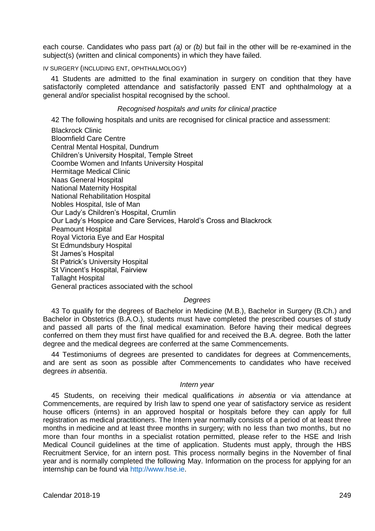each course. Candidates who pass part *(a)* or *(b)* but fail in the other will be re-examined in the subject(s) (written and clinical components) in which they have failed.

# IV SURGERY (INCLUDING ENT, OPHTHALMOLOGY)

41 Students are admitted to the final examination in surgery on condition that they have satisfactorily completed attendance and satisfactorily passed ENT and ophthalmology at a general and/or specialist hospital recognised by the school.

#### *Recognised hospitals and units for clinical practice*

42 The following hospitals and units are recognised for clinical practice and assessment:

Blackrock Clinic Bloomfield Care Centre Central Mental Hospital, Dundrum Children's University Hospital, Temple Street Coombe Women and Infants University Hospital Hermitage Medical Clinic Naas General Hospital National Maternity Hospital National Rehabilitation Hospital Nobles Hospital, Isle of Man Our Lady's Children's Hospital, Crumlin Our Lady's Hospice and Care Services, Harold's Cross and Blackrock Peamount Hospital Royal Victoria Eye and Ear Hospital St Edmundsbury Hospital St James's Hospital St Patrick's University Hospital St Vincent's Hospital, Fairview Tallaght Hospital General practices associated with the school

# *Degrees*

43 To qualify for the degrees of Bachelor in Medicine (M.B.), Bachelor in Surgery (B.Ch.) and Bachelor in Obstetrics (B.A.O.), students must have completed the prescribed courses of study and passed all parts of the final medical examination. Before having their medical degrees conferred on them they must first have qualified for and received the B.A. degree. Both the latter degree and the medical degrees are conferred at the same Commencements.

44 Testimoniums of degrees are presented to candidates for degrees at Commencements, and are sent as soon as possible after Commencements to candidates who have received degrees *in absentia*.

#### *Intern year*

45 Students, on receiving their medical qualifications *in absentia* or via attendance at Commencements, are required by Irish law to spend one year of satisfactory service as resident house officers (interns) in an approved hospital or hospitals before they can apply for full registration as medical practitioners. The Intern year normally consists of a period of at least three months in medicine and at least three months in surgery; with no less than two months, but no more than four months in a specialist rotation permitted, please refer to the HSE and Irish Medical Council guidelines at the time of application. Students must apply, through the HBS Recruitment Service, for an intern post. This process normally begins in the November of final year and is normally completed the following May. Information on the process for applying for an internship can be found via [http://www.hse.ie.](http://hse.ie/eng/)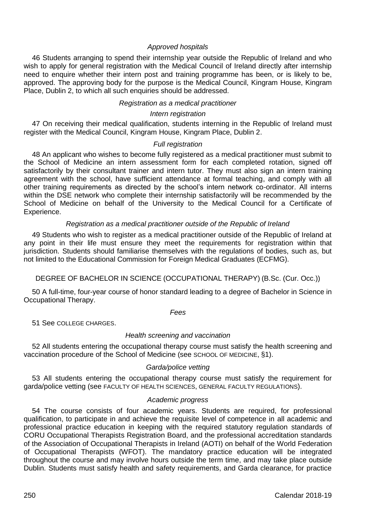# *Approved hospitals*

46 Students arranging to spend their internship year outside the Republic of Ireland and who wish to apply for general registration with the Medical Council of Ireland directly after internship need to enquire whether their intern post and training programme has been, or is likely to be, approved. The approving body for the purpose is the Medical Council, Kingram House, Kingram Place, Dublin 2, to which all such enquiries should be addressed.

# *Registration as a medical practitioner*

#### *Intern registration*

47 On receiving their medical qualification, students interning in the Republic of Ireland must register with the Medical Council, Kingram House, Kingram Place, Dublin 2.

#### *Full registration*

48 An applicant who wishes to become fully registered as a medical practitioner must submit to the School of Medicine an intern assessment form for each completed rotation, signed off satisfactorily by their consultant trainer and intern tutor. They must also sign an intern training agreement with the school, have sufficient attendance at formal teaching, and comply with all other training requirements as directed by the school's intern network co-ordinator. All interns within the DSE network who complete their internship satisfactorily will be recommended by the School of Medicine on behalf of the University to the Medical Council for a Certificate of Experience.

#### *Registration as a medical practitioner outside of the Republic of Ireland*

49 Students who wish to register as a medical practitioner outside of the Republic of Ireland at any point in their life must ensure they meet the requirements for registration within that jurisdiction. Students should familiarise themselves with the regulations of bodies, such as, but not limited to the Educational Commission for Foreign Medical Graduates (ECFMG).

# DEGREE OF BACHELOR IN SCIENCE (OCCUPATIONAL THERAPY) (B.Sc. (Cur. Occ.))

50 A full-time, four-year course of honor standard leading to a degree of Bachelor in Science in Occupational Therapy.

#### *Fees*

51 See COLLEGE CHARGES

# *Health screening and vaccination*

52 All students entering the occupational therapy course must satisfy the health screening and vaccination procedure of the School of Medicine (see SCHOOL OF MEDICINE, §1).

#### *Garda/police vetting*

53 All students entering the occupational therapy course must satisfy the requirement for garda/police vetting (see FACULTY OF HEALTH SCIENCES, GENERAL FACULTY REGULATIONS).

#### *Academic progress*

54 The course consists of four academic years. Students are required, for professional qualification, to participate in and achieve the requisite level of competence in all academic and professional practice education in keeping with the required statutory regulation standards of CORU Occupational Therapists Registration Board, and the professional accreditation standards of the Association of Occupational Therapists in Ireland (AOTI) on behalf of the World Federation of Occupational Therapists (WFOT). The mandatory practice education will be integrated throughout the course and may involve hours outside the term time, and may take place outside Dublin. Students must satisfy health and safety requirements, and Garda clearance, for practice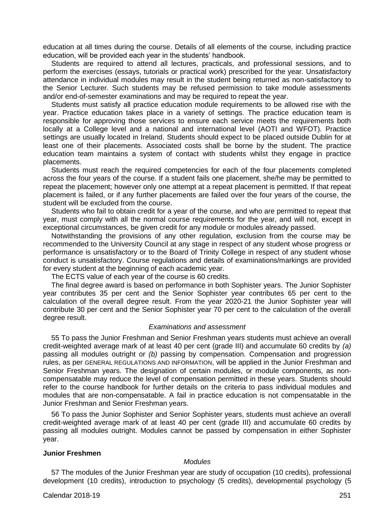education at all times during the course. Details of all elements of the course, including practice education, will be provided each year in the students' handbook.

Students are required to attend all lectures, practicals, and professional sessions, and to perform the exercises (essays, tutorials or practical work) prescribed for the year. Unsatisfactory attendance in individual modules may result in the student being returned as non-satisfactory to the Senior Lecturer. Such students may be refused permission to take module assessments and/or end-of-semester examinations and may be required to repeat the year.

Students must satisfy all practice education module requirements to be allowed rise with the year. Practice education takes place in a variety of settings. The practice education team is responsible for approving those services to ensure each service meets the requirements both locally at a College level and a national and international level (AOTI and WFOT). Practice settings are usually located in Ireland. Students should expect to be placed outside Dublin for at least one of their placements. Associated costs shall be borne by the student. The practice education team maintains a system of contact with students whilst they engage in practice placements.

Students must reach the required competencies for each of the four placements completed across the four years of the course. If a student fails one placement, she/he may be permitted to repeat the placement; however only one attempt at a repeat placement is permitted. If that repeat placement is failed, or if any further placements are failed over the four years of the course, the student will be excluded from the course.

Students who fail to obtain credit for a year of the course, and who are permitted to repeat that year, must comply with all the normal course requirements for the year, and will not, except in exceptional circumstances, be given credit for any module or modules already passed.

Notwithstanding the provisions of any other regulation, exclusion from the course may be recommended to the University Council at any stage in respect of any student whose progress or performance is unsatisfactory or to the Board of Trinity College in respect of any student whose conduct is unsatisfactory. Course regulations and details of examinations/markings are provided for every student at the beginning of each academic year.

The ECTS value of each year of the course is 60 credits.

The final degree award is based on performance in both Sophister years. The Junior Sophister year contributes 35 per cent and the Senior Sophister year contributes 65 per cent to the calculation of the overall degree result. From the year 2020-21 the Junior Sophister year will contribute 30 per cent and the Senior Sophister year 70 per cent to the calculation of the overall degree result.

#### *Examinations and assessment*

55 To pass the Junior Freshman and Senior Freshman years students must achieve an overall credit-weighted average mark of at least 40 per cent (grade III) and accumulate 60 credits by *(a)*  passing all modules outright or *(b)* passing by compensation. Compensation and progression rules, as per GENERAL REGULATIONS AND INFORMATION, will be applied in the Junior Freshman and Senior Freshman years. The designation of certain modules, or module components, as noncompensatable may reduce the level of compensation permitted in these years. Students should refer to the course handbook for further details on the criteria to pass individual modules and modules that are non-compensatable. A fail in practice education is not compensatable in the Junior Freshman and Senior Freshman years.

56 To pass the Junior Sophister and Senior Sophister years, students must achieve an overall credit-weighted average mark of at least 40 per cent (grade III) and accumulate 60 credits by passing all modules outright. Modules cannot be passed by compensation in either Sophister year.

#### **Junior Freshmen**

#### *Modules*

57 The modules of the Junior Freshman year are study of occupation (10 credits), professional development (10 credits), introduction to psychology (5 credits), developmental psychology (5

Calendar 2018-19 251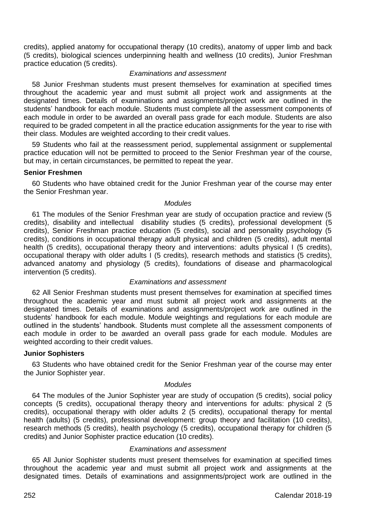credits), applied anatomy for occupational therapy (10 credits), anatomy of upper limb and back (5 credits), biological sciences underpinning health and wellness (10 credits), Junior Freshman practice education (5 credits).

#### *Examinations and assessment*

58 Junior Freshman students must present themselves for examination at specified times throughout the academic year and must submit all project work and assignments at the designated times. Details of examinations and assignments/project work are outlined in the students' handbook for each module. Students must complete all the assessment components of each module in order to be awarded an overall pass grade for each module. Students are also required to be graded competent in all the practice education assignments for the year to rise with their class. Modules are weighted according to their credit values.

59 Students who fail at the reassessment period, supplemental assignment or supplemental practice education will not be permitted to proceed to the Senior Freshman year of the course, but may, in certain circumstances, be permitted to repeat the year.

#### **Senior Freshmen**

60 Students who have obtained credit for the Junior Freshman year of the course may enter the Senior Freshman year.

# *Modules*

61 The modules of the Senior Freshman year are study of occupation practice and review (5 credits), disability and intellectual disability studies (5 credits), professional development (5 credits), Senior Freshman practice education (5 credits), social and personality psychology (5 credits), conditions in occupational therapy adult physical and children (5 credits), adult mental health (5 credits), occupational therapy theory and interventions: adults physical I (5 credits), occupational therapy with older adults I (5 credits), research methods and statistics (5 credits), advanced anatomy and physiology (5 credits), foundations of disease and pharmacological intervention (5 credits).

#### *Examinations and assessment*

62 All Senior Freshman students must present themselves for examination at specified times throughout the academic year and must submit all project work and assignments at the designated times. Details of examinations and assignments/project work are outlined in the students' handbook for each module. Module weightings and regulations for each module are outlined in the students' handbook. Students must complete all the assessment components of each module in order to be awarded an overall pass grade for each module. Modules are weighted according to their credit values.

#### **Junior Sophisters**

63 Students who have obtained credit for the Senior Freshman year of the course may enter the Junior Sophister year.

#### *Modules*

64 The modules of the Junior Sophister year are study of occupation (5 credits), social policy concepts (5 credits), occupational therapy theory and interventions for adults: physical 2 (5 credits), occupational therapy with older adults 2 (5 credits), occupational therapy for mental health (adults) (5 credits), professional development: group theory and facilitation (10 credits), research methods (5 credits), health psychology (5 credits), occupational therapy for children (5 credits) and Junior Sophister practice education (10 credits).

#### *Examinations and assessment*

65 All Junior Sophister students must present themselves for examination at specified times throughout the academic year and must submit all project work and assignments at the designated times. Details of examinations and assignments/project work are outlined in the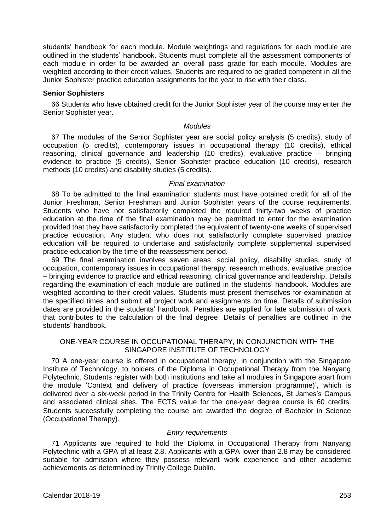students' handbook for each module. Module weightings and regulations for each module are outlined in the students' handbook. Students must complete all the assessment components of each module in order to be awarded an overall pass grade for each module. Modules are weighted according to their credit values. Students are required to be graded competent in all the Junior Sophister practice education assignments for the year to rise with their class.

#### **Senior Sophisters**

66 Students who have obtained credit for the Junior Sophister year of the course may enter the Senior Sophister year.

# *Modules*

67 The modules of the Senior Sophister year are social policy analysis (5 credits), study of occupation (5 credits), contemporary issues in occupational therapy (10 credits), ethical reasoning, clinical governance and leadership (10 credits), evaluative practice – bringing evidence to practice (5 credits), Senior Sophister practice education (10 credits), research methods (10 credits) and disability studies (5 credits).

#### *Final examination*

68 To be admitted to the final examination students must have obtained credit for all of the Junior Freshman, Senior Freshman and Junior Sophister years of the course requirements. Students who have not satisfactorily completed the required thirty-two weeks of practice education at the time of the final examination may be permitted to enter for the examination provided that they have satisfactorily completed the equivalent of twenty-one weeks of supervised practice education. Any student who does not satisfactorily complete supervised practice education will be required to undertake and satisfactorily complete supplemental supervised practice education by the time of the reassessment period.

69 The final examination involves seven areas: social policy, disability studies, study of occupation, contemporary issues in occupational therapy, research methods, evaluative practice – bringing evidence to practice and ethical reasoning, clinical governance and leadership. Details regarding the examination of each module are outlined in the students' handbook. Modules are weighted according to their credit values. Students must present themselves for examination at the specified times and submit all project work and assignments on time. Details of submission dates are provided in the students' handbook. Penalties are applied for late submission of work that contributes to the calculation of the final degree. Details of penalties are outlined in the students' handbook.

# ONE-YEAR COURSE IN OCCUPATIONAL THERAPY, IN CONJUNCTION WITH THE SINGAPORE INSTITUTE OF TECHNOLOGY

70 A one-year course is offered in occupational therapy, in conjunction with the Singapore Institute of Technology, to holders of the Diploma in Occupational Therapy from the Nanyang Polytechnic. Students register with both institutions and take all modules in Singapore apart from the module 'Context and delivery of practice (overseas immersion programme)', which is delivered over a six-week period in the Trinity Centre for Health Sciences, St James's Campus and associated clinical sites. The ECTS value for the one‐year degree course is 60 credits. Students successfully completing the course are awarded the degree of Bachelor in Science (Occupational Therapy).

#### *Entry requirements*

71 Applicants are required to hold the Diploma in Occupational Therapy from Nanyang Polytechnic with a GPA of at least 2.8. Applicants with a GPA lower than 2.8 may be considered suitable for admission where they possess relevant work experience and other academic achievements as determined by Trinity College Dublin.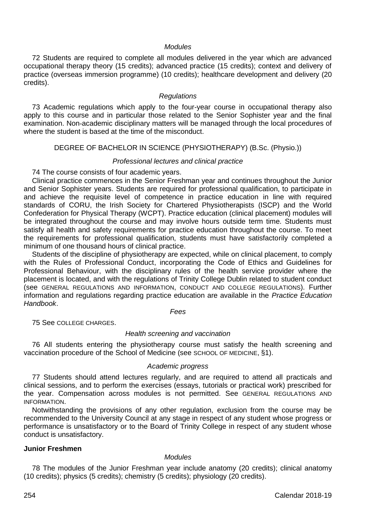# *Modules*

72 Students are required to complete all modules delivered in the year which are advanced occupational therapy theory (15 credits); advanced practice (15 credits); context and delivery of practice (overseas immersion programme) (10 credits); healthcare development and delivery (20 credits).

#### *Regulations*

73 Academic regulations which apply to the four-year course in occupational therapy also apply to this course and in particular those related to the Senior Sophister year and the final examination. Non-academic disciplinary matters will be managed through the local procedures of where the student is based at the time of the misconduct.

#### DEGREE OF BACHELOR IN SCIENCE (PHYSIOTHERAPY) (B.Sc. (Physio.))

#### *Professional lectures and clinical practice*

74 The course consists of four academic years.

Clinical practice commences in the Senior Freshman year and continues throughout the Junior and Senior Sophister years. Students are required for professional qualification, to participate in and achieve the requisite level of competence in practice education in line with required standards of CORU, the Irish Society for Chartered Physiotherapists (ISCP) and the World Confederation for Physical Therapy (WCPT). Practice education (clinical placement) modules will be integrated throughout the course and may involve hours outside term time. Students must satisfy all health and safety requirements for practice education throughout the course. To meet the requirements for professional qualification, students must have satisfactorily completed a minimum of one thousand hours of clinical practice.

Students of the discipline of physiotherapy are expected, while on clinical placement, to comply with the Rules of Professional Conduct, incorporating the Code of Ethics and Guidelines for Professional Behaviour, with the disciplinary rules of the health service provider where the placement is located, and with the regulations of Trinity College Dublin related to student conduct (see GENERAL REGULATIONS AND INFORMATION, CONDUCT AND COLLEGE REGULATIONS). Further information and regulations regarding practice education are available in the *Practice Education Handbook*.

#### *Fees*

75 See COLLEGE CHARGES.

#### *Health screening and vaccination*

76 All students entering the physiotherapy course must satisfy the health screening and vaccination procedure of the School of Medicine (see SCHOOL OF MEDICINE, §1).

#### *Academic progress*

77 Students should attend lectures regularly, and are required to attend all practicals and clinical sessions, and to perform the exercises (essays, tutorials or practical work) prescribed for the year. Compensation across modules is not permitted. See GENERAL REGULATIONS AND INFORMATION.

Notwithstanding the provisions of any other regulation, exclusion from the course may be recommended to the University Council at any stage in respect of any student whose progress or performance is unsatisfactory or to the Board of Trinity College in respect of any student whose conduct is unsatisfactory.

# **Junior Freshmen**

#### *Modules*

78 The modules of the Junior Freshman year include anatomy (20 credits); clinical anatomy (10 credits); physics (5 credits); chemistry (5 credits); physiology (20 credits).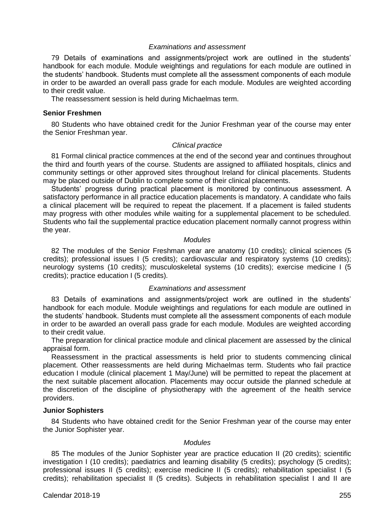#### *Examinations and assessment*

79 Details of examinations and assignments/project work are outlined in the students' handbook for each module. Module weightings and regulations for each module are outlined in the students' handbook. Students must complete all the assessment components of each module in order to be awarded an overall pass grade for each module. Modules are weighted according to their credit value.

The reassessment session is held during Michaelmas term.

#### **Senior Freshmen**

80 Students who have obtained credit for the Junior Freshman year of the course may enter the Senior Freshman year.

#### *Clinical practice*

81 Formal clinical practice commences at the end of the second year and continues throughout the third and fourth years of the course. Students are assigned to affiliated hospitals, clinics and community settings or other approved sites throughout Ireland for clinical placements. Students may be placed outside of Dublin to complete some of their clinical placements.

Students' progress during practical placement is monitored by continuous assessment. A satisfactory performance in all practice education placements is mandatory. A candidate who fails a clinical placement will be required to repeat the placement. If a placement is failed students may progress with other modules while waiting for a supplemental placement to be scheduled. Students who fail the supplemental practice education placement normally cannot progress within the year.

#### *Modules*

82 The modules of the Senior Freshman year are anatomy (10 credits); clinical sciences (5 credits); professional issues I (5 credits); cardiovascular and respiratory systems (10 credits); neurology systems (10 credits); musculoskeletal systems (10 credits); exercise medicine I (5 credits); practice education I (5 credits).

#### *Examinations and assessment*

83 Details of examinations and assignments/project work are outlined in the students' handbook for each module. Module weightings and regulations for each module are outlined in the students' handbook. Students must complete all the assessment components of each module in order to be awarded an overall pass grade for each module. Modules are weighted according to their credit value.

The preparation for clinical practice module and clinical placement are assessed by the clinical appraisal form.

Reassessment in the practical assessments is held prior to students commencing clinical placement. Other reassessments are held during Michaelmas term. Students who fail practice education I module (clinical placement 1 May/June) will be permitted to repeat the placement at the next suitable placement allocation. Placements may occur outside the planned schedule at the discretion of the discipline of physiotherapy with the agreement of the health service providers.

#### **Junior Sophisters**

84 Students who have obtained credit for the Senior Freshman year of the course may enter the Junior Sophister year.

#### *Modules*

85 The modules of the Junior Sophister year are practice education II (20 credits); scientific investigation I (10 credits); paediatrics and learning disability (5 credits); psychology (5 credits); professional issues II (5 credits); exercise medicine II (5 credits); rehabilitation specialist I (5 credits); rehabilitation specialist II (5 credits). Subjects in rehabilitation specialist I and II are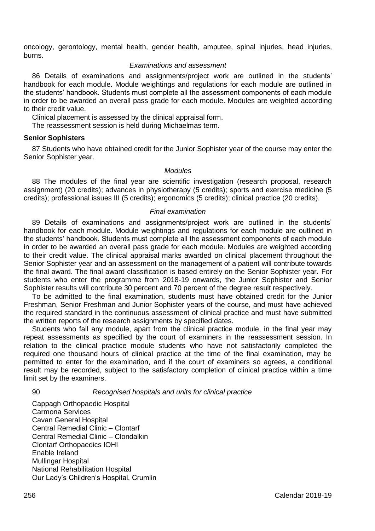oncology, gerontology, mental health, gender health, amputee, spinal injuries, head injuries, burns.

# *Examinations and assessment*

86 Details of examinations and assignments/project work are outlined in the students' handbook for each module. Module weightings and regulations for each module are outlined in the students' handbook. Students must complete all the assessment components of each module in order to be awarded an overall pass grade for each module. Modules are weighted according to their credit value.

Clinical placement is assessed by the clinical appraisal form.

The reassessment session is held during Michaelmas term.

#### **Senior Sophisters**

87 Students who have obtained credit for the Junior Sophister year of the course may enter the Senior Sophister year.

#### *Modules*

88 The modules of the final year are scientific investigation (research proposal, research assignment) (20 credits); advances in physiotherapy (5 credits); sports and exercise medicine (5 credits); professional issues III (5 credits); ergonomics (5 credits); clinical practice (20 credits).

# *Final examination*

89 Details of examinations and assignments/project work are outlined in the students' handbook for each module. Module weightings and regulations for each module are outlined in the students' handbook. Students must complete all the assessment components of each module in order to be awarded an overall pass grade for each module. Modules are weighted according to their credit value. The clinical appraisal marks awarded on clinical placement throughout the Senior Sophister year and an assessment on the management of a patient will contribute towards the final award. The final award classification is based entirely on the Senior Sophister year. For students who enter the programme from 2018-19 onwards, the Junior Sophister and Senior Sophister results will contribute 30 percent and 70 percent of the degree result respectively.

To be admitted to the final examination, students must have obtained credit for the Junior Freshman, Senior Freshman and Junior Sophister years of the course, and must have achieved the required standard in the continuous assessment of clinical practice and must have submitted the written reports of the research assignments by specified dates.

Students who fail any module, apart from the clinical practice module, in the final year may repeat assessments as specified by the court of examiners in the reassessment session. In relation to the clinical practice module students who have not satisfactorily completed the required one thousand hours of clinical practice at the time of the final examination, may be permitted to enter for the examination, and if the court of examiners so agrees, a conditional result may be recorded, subject to the satisfactory completion of clinical practice within a time limit set by the examiners.

90 *Recognised hospitals and units for clinical practice*

Cappagh Orthopaedic Hospital Carmona Services Cavan General Hospital Central Remedial Clinic – Clontarf Central Remedial Clinic – Clondalkin Clontarf Orthopaedics IOHI Enable Ireland Mullingar Hospital National Rehabilitation Hospital Our Lady's Children's Hospital, Crumlin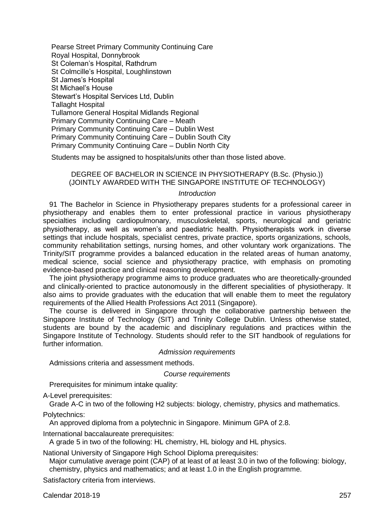Pearse Street Primary Community Continuing Care Royal Hospital, Donnybrook St Coleman's Hospital, Rathdrum St Colmcille's Hospital, Loughlinstown St James's Hospital St Michael's House Stewart's Hospital Services Ltd, Dublin Tallaght Hospital Tullamore General Hospital Midlands Regional Primary Community Continuing Care – Meath Primary Community Continuing Care – Dublin West Primary Community Continuing Care – Dublin South City Primary Community Continuing Care – Dublin North City

Students may be assigned to hospitals/units other than those listed above.

# DEGREE OF BACHELOR IN SCIENCE IN PHYSIOTHERAPY (B.Sc. (Physio.)) (JOINTLY AWARDED WITH THE SINGAPORE INSTITUTE OF TECHNOLOGY)

#### *Introduction*

91 The Bachelor in Science in Physiotherapy prepares students for a professional career in physiotherapy and enables them to enter professional practice in various physiotherapy specialties including cardiopulmonary, musculoskeletal, sports, neurological and geriatric physiotherapy, as well as women's and paediatric health. Physiotherapists work in diverse settings that include hospitals, specialist centres, private practice, sports organizations, schools, community rehabilitation settings, nursing homes, and other voluntary work organizations. The Trinity/SIT programme provides a balanced education in the related areas of human anatomy, medical science, social science and physiotherapy practice, with emphasis on promoting evidence-based practice and clinical reasoning development.

The joint physiotherapy programme aims to produce graduates who are theoretically-grounded and clinically-oriented to practice autonomously in the different specialities of physiotherapy. It also aims to provide graduates with the education that will enable them to meet the regulatory requirements of the Allied Health Professions Act 2011 (Singapore).

The course is delivered in Singapore through the collaborative partnership between the Singapore Institute of Technology (SIT) and Trinity College Dublin. Unless otherwise stated, students are bound by the academic and disciplinary regulations and practices within the Singapore Institute of Technology. Students should refer to the SIT handbook of regulations for further information.

#### *Admission requirements*

Admissions criteria and assessment methods.

#### *Course requirements*

Prerequisites for minimum intake quality:

A-Level prerequisites:

Grade A-C in two of the following H2 subjects: biology, chemistry, physics and mathematics.

#### Polytechnics:

An approved diploma from a polytechnic in Singapore. Minimum GPA of 2.8.

International baccalaureate prerequisites:

A grade 5 in two of the following: HL chemistry, HL biology and HL physics.

National University of Singapore High School Diploma prerequisites:

Major cumulative average point (CAP) of at least of at least 3.0 in two of the following: biology. chemistry, physics and mathematics; and at least 1.0 in the English programme.

Satisfactory criteria from interviews.

Calendar 2018-19 257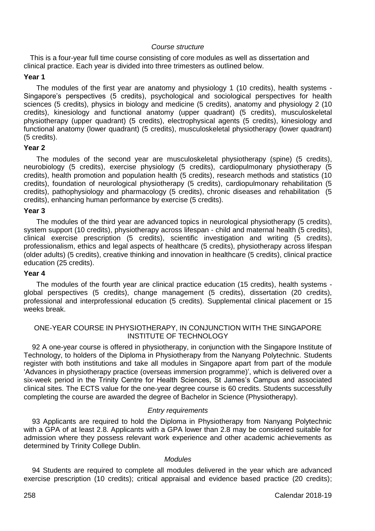# *Course structure*

This is a four-year full time course consisting of core modules as well as dissertation and clinical practice. Each year is divided into three trimesters as outlined below.

# **Year 1**

The modules of the first year are anatomy and physiology 1 (10 credits), health systems - Singapore's perspectives (5 credits), psychological and sociological perspectives for health sciences (5 credits), physics in biology and medicine (5 credits), anatomy and physiology 2 (10 credits), kinesiology and functional anatomy (upper quadrant) (5 credits), musculoskeletal physiotherapy (upper quadrant) (5 credits), electrophysical agents (5 credits), kinesiology and functional anatomy (lower quadrant) (5 credits), musculoskeletal physiotherapy (lower quadrant) (5 credits).

#### **Year 2**

The modules of the second year are musculoskeletal physiotherapy (spine) (5 credits), neurobiology (5 credits), exercise physiology (5 credits), cardiopulmonary physiotherapy (5 credits), health promotion and population health (5 credits), research methods and statistics (10 credits), foundation of neurological physiotherapy (5 credits), cardiopulmonary rehabilitation (5 credits), pathophysiology and pharmacology (5 credits), chronic diseases and rehabilitation (5 credits), enhancing human performance by exercise (5 credits).

#### **Year 3**

The modules of the third year are advanced topics in neurological physiotherapy (5 credits), system support (10 credits), physiotherapy across lifespan - child and maternal health (5 credits), clinical exercise prescription (5 credits), scientific investigation and writing (5 credits), professionalism, ethics and legal aspects of healthcare (5 credits), physiotherapy across lifespan (older adults) (5 credits), creative thinking and innovation in healthcare (5 credits), clinical practice education (25 credits).

# **Year 4**

The modules of the fourth year are clinical practice education (15 credits), health systems global perspectives (5 credits), change management (5 credits), dissertation (20 credits), professional and interprofessional education (5 credits). Supplemental clinical placement or 15 weeks break.

# ONE-YEAR COURSE IN PHYSIOTHERAPY, IN CONJUNCTION WITH THE SINGAPORE INSTITUTE OF TECHNOLOGY

92 A one-year course is offered in physiotherapy, in conjunction with the Singapore Institute of Technology, to holders of the Diploma in Physiotherapy from the Nanyang Polytechnic. Students register with both institutions and take all modules in Singapore apart from part of the module 'Advances in physiotherapy practice (overseas immersion programme)', which is delivered over a six-week period in the Trinity Centre for Health Sciences, St James's Campus and associated clinical sites. The ECTS value for the one‐year degree course is 60 credits. Students successfully completing the course are awarded the degree of Bachelor in Science (Physiotherapy).

#### *Entry requirements*

93 Applicants are required to hold the Diploma in Physiotherapy from Nanyang Polytechnic with a GPA of at least 2.8. Applicants with a GPA lower than 2.8 may be considered suitable for admission where they possess relevant work experience and other academic achievements as determined by Trinity College Dublin.

#### *Modules*

94 Students are required to complete all modules delivered in the year which are advanced exercise prescription (10 credits); critical appraisal and evidence based practice (20 credits);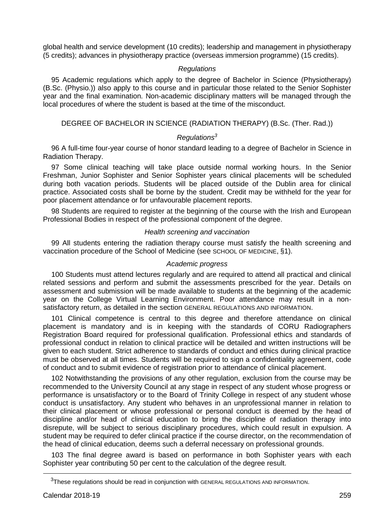global health and service development (10 credits); leadership and management in physiotherapy (5 credits); advances in physiotherapy practice (overseas immersion programme) (15 credits).

#### *Regulations*

95 Academic regulations which apply to the degree of Bachelor in Science (Physiotherapy) (B.Sc. (Physio.)) also apply to this course and in particular those related to the Senior Sophister year and the final examination. Non-academic disciplinary matters will be managed through the local procedures of where the student is based at the time of the misconduct.

# DEGREE OF BACHELOR IN SCIENCE (RADIATION THERAPY) (B.Sc. (Ther. Rad.))

# *Regulations<sup>3</sup>*

96 A full-time four-year course of honor standard leading to a degree of Bachelor in Science in Radiation Therapy.

97 Some clinical teaching will take place outside normal working hours. In the Senior Freshman, Junior Sophister and Senior Sophister years clinical placements will be scheduled during both vacation periods. Students will be placed outside of the Dublin area for clinical practice. Associated costs shall be borne by the student. Credit may be withheld for the year for poor placement attendance or for unfavourable placement reports.

98 Students are required to register at the beginning of the course with the Irish and European Professional Bodies in respect of the professional component of the degree.

# *Health screening and vaccination*

99 All students entering the radiation therapy course must satisfy the health screening and vaccination procedure of the School of Medicine (see SCHOOL OF MEDICINE, §1).

#### *Academic progress*

100 Students must attend lectures regularly and are required to attend all practical and clinical related sessions and perform and submit the assessments prescribed for the year. Details on assessment and submission will be made available to students at the beginning of the academic year on the College Virtual Learning Environment. Poor attendance may result in a nonsatisfactory return, as detailed in the section GENERAL REGULATIONS AND INFORMATION.

101 Clinical competence is central to this degree and therefore attendance on clinical placement is mandatory and is in keeping with the standards of CORU Radiographers Registration Board required for professional qualification. Professional ethics and standards of professional conduct in relation to clinical practice will be detailed and written instructions will be given to each student. Strict adherence to standards of conduct and ethics during clinical practice must be observed at all times. Students will be required to sign a confidentiality agreement, code of conduct and to submit evidence of registration prior to attendance of clinical placement.

102 Notwithstanding the provisions of any other regulation, exclusion from the course may be recommended to the University Council at any stage in respect of any student whose progress or performance is unsatisfactory or to the Board of Trinity College in respect of any student whose conduct is unsatisfactory. Any student who behaves in an unprofessional manner in relation to their clinical placement or whose professional or personal conduct is deemed by the head of discipline and/or head of clinical education to bring the discipline of radiation therapy into disrepute, will be subject to serious disciplinary procedures, which could result in expulsion. A student may be required to defer clinical practice if the course director, on the recommendation of the head of clinical education, deems such a deferral necessary on professional grounds.

103 The final degree award is based on performance in both Sophister years with each Sophister year contributing 50 per cent to the calculation of the degree result.

<u>.</u>

<sup>&</sup>lt;sup>3</sup>These regulations should be read in conjunction with GENERAL REGULATIONS AND INFORMATION.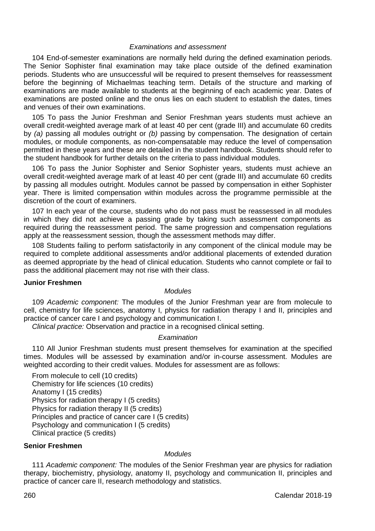#### *Examinations and assessment*

104 End-of-semester examinations are normally held during the defined examination periods. The Senior Sophister final examination may take place outside of the defined examination periods. Students who are unsuccessful will be required to present themselves for reassessment before the beginning of Michaelmas teaching term. Details of the structure and marking of examinations are made available to students at the beginning of each academic year. Dates of examinations are posted online and the onus lies on each student to establish the dates, times and venues of their own examinations.

105 To pass the Junior Freshman and Senior Freshman years students must achieve an overall credit-weighted average mark of at least 40 per cent (grade III) and accumulate 60 credits by *(a)* passing all modules outright or *(b)* passing by compensation. The designation of certain modules, or module components, as non-compensatable may reduce the level of compensation permitted in these years and these are detailed in the student handbook. Students should refer to the student handbook for further details on the criteria to pass individual modules.

106 To pass the Junior Sophister and Senior Sophister years, students must achieve an overall credit-weighted average mark of at least 40 per cent (grade III) and accumulate 60 credits by passing all modules outright. Modules cannot be passed by compensation in either Sophister year. There is limited compensation within modules across the programme permissible at the discretion of the court of examiners.

107 In each year of the course, students who do not pass must be reassessed in all modules in which they did not achieve a passing grade by taking such assessment components as required during the reassessment period. The same progression and compensation regulations apply at the reassessment session, though the assessment methods may differ.

108 Students failing to perform satisfactorily in any component of the clinical module may be required to complete additional assessments and/or additional placements of extended duration as deemed appropriate by the head of clinical education. Students who cannot complete or fail to pass the additional placement may not rise with their class.

#### **Junior Freshmen**

#### *Modules*

109 *Academic component:* The modules of the Junior Freshman year are from molecule to cell, chemistry for life sciences, anatomy I, physics for radiation therapy I and II, principles and practice of cancer care I and psychology and communication I.

*Clinical practice:* Observation and practice in a recognised clinical setting.

# *Examination*

110 All Junior Freshman students must present themselves for examination at the specified times. Modules will be assessed by examination and/or in-course assessment. Modules are weighted according to their credit values. Modules for assessment are as follows:

From molecule to cell (10 credits) Chemistry for life sciences (10 credits) Anatomy I (15 credits) Physics for radiation therapy I (5 credits) Physics for radiation therapy II (5 credits) Principles and practice of cancer care I (5 credits) Psychology and communication I (5 credits) Clinical practice (5 credits)

#### **Senior Freshmen**

# *Modules*

111 *Academic component:* The modules of the Senior Freshman year are physics for radiation therapy, biochemistry, physiology, anatomy II, psychology and communication II, principles and practice of cancer care II, research methodology and statistics.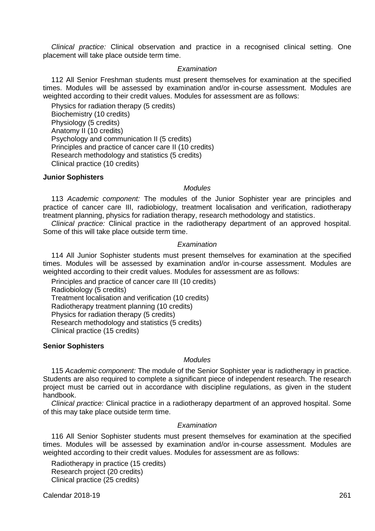*Clinical practice:* Clinical observation and practice in a recognised clinical setting. One placement will take place outside term time.

#### *Examination*

112 All Senior Freshman students must present themselves for examination at the specified times. Modules will be assessed by examination and/or in-course assessment. Modules are weighted according to their credit values. Modules for assessment are as follows:

Physics for radiation therapy (5 credits) Biochemistry (10 credits) Physiology (5 credits) Anatomy II (10 credits) Psychology and communication II (5 credits) Principles and practice of cancer care II (10 credits) Research methodology and statistics (5 credits) Clinical practice (10 credits)

#### **Junior Sophisters**

#### *Modules*

113 *Academic component:* The modules of the Junior Sophister year are principles and practice of cancer care III, radiobiology, treatment localisation and verification, radiotherapy treatment planning, physics for radiation therapy, research methodology and statistics.

*Clinical practice:* Clinical practice in the radiotherapy department of an approved hospital. Some of this will take place outside term time.

#### *Examination*

114 All Junior Sophister students must present themselves for examination at the specified times. Modules will be assessed by examination and/or in-course assessment. Modules are weighted according to their credit values. Modules for assessment are as follows:

Principles and practice of cancer care III (10 credits) Radiobiology (5 credits) Treatment localisation and verification (10 credits) Radiotherapy treatment planning (10 credits) Physics for radiation therapy (5 credits) Research methodology and statistics (5 credits) Clinical practice (15 credits)

# **Senior Sophisters**

#### *Modules*

115 *Academic component:* The module of the Senior Sophister year is radiotherapy in practice. Students are also required to complete a significant piece of independent research. The research project must be carried out in accordance with discipline regulations, as given in the student handbook.

*Clinical practice:* Clinical practice in a radiotherapy department of an approved hospital. Some of this may take place outside term time.

#### *Examination*

116 All Senior Sophister students must present themselves for examination at the specified times. Modules will be assessed by examination and/or in-course assessment. Modules are weighted according to their credit values. Modules for assessment are as follows:

Radiotherapy in practice (15 credits) Research project (20 credits) Clinical practice (25 credits)

Calendar 2018-19 261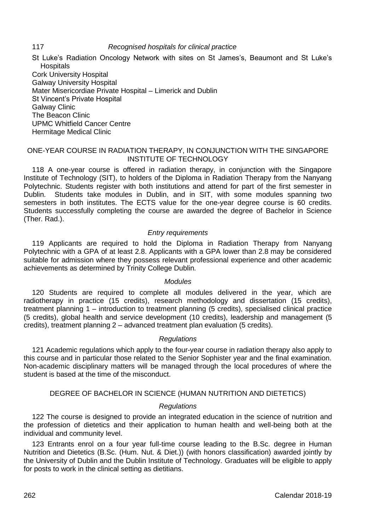# 117 *Recognised hospitals for clinical practice*

St Luke's Radiation Oncology Network with sites on St James's, Beaumont and St Luke's **Hospitals** Cork University Hospital Galway University Hospital Mater Misericordiae Private Hospital – Limerick and Dublin St Vincent's Private Hospital Galway Clinic The Beacon Clinic UPMC Whitfield Cancer Centre Hermitage Medical Clinic

#### ONE-YEAR COURSE IN RADIATION THERAPY, IN CONJUNCTION WITH THE SINGAPORE INSTITUTE OF TECHNOLOGY

118 A one-year course is offered in radiation therapy, in conjunction with the Singapore Institute of Technology (SIT), to holders of the Diploma in Radiation Therapy from the Nanyang Polytechnic. Students register with both institutions and attend for part of the first semester in Dublin. Students take modules in Dublin, and in SIT, with some modules spanning two semesters in both institutes. The ECTS value for the one-year degree course is 60 credits. Students successfully completing the course are awarded the degree of Bachelor in Science (Ther. Rad.).

# *Entry requirements*

119 Applicants are required to hold the Diploma in Radiation Therapy from Nanyang Polytechnic with a GPA of at least 2.8. Applicants with a GPA lower than 2.8 may be considered suitable for admission where they possess relevant professional experience and other academic achievements as determined by Trinity College Dublin.

# *Modules*

120 Students are required to complete all modules delivered in the year, which are radiotherapy in practice (15 credits), research methodology and dissertation (15 credits), treatment planning 1 – introduction to treatment planning (5 credits), specialised clinical practice (5 credits), global health and service development (10 credits), leadership and management (5 credits), treatment planning 2 – advanced treatment plan evaluation (5 credits).

# *Regulations*

121 Academic regulations which apply to the four-year course in radiation therapy also apply to this course and in particular those related to the Senior Sophister year and the final examination. Non-academic disciplinary matters will be managed through the local procedures of where the student is based at the time of the misconduct.

#### DEGREE OF BACHELOR IN SCIENCE (HUMAN NUTRITION AND DIETETICS)

#### *Regulations*

122 The course is designed to provide an integrated education in the science of nutrition and the profession of dietetics and their application to human health and well-being both at the individual and community level.

123 Entrants enrol on a four year full-time course leading to the B.Sc. degree in Human Nutrition and Dietetics (B.Sc. (Hum. Nut. & Diet.)) (with honors classification) awarded jointly by the University of Dublin and the Dublin Institute of Technology. Graduates will be eligible to apply for posts to work in the clinical setting as dietitians.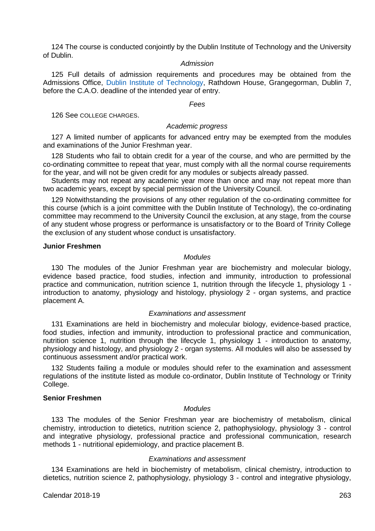124 The course is conducted conjointly by the Dublin Institute of Technology and the University of Dublin.

#### *Admission*

125 Full details of admission requirements and procedures may be obtained from the Admissions Office, [Dublin Institute of Technology,](http://www.dit.ie/) Rathdown House, Grangegorman, Dublin 7, before the C.A.O. deadline of the intended year of entry.

#### *Fees*

126 See COLLEGE CHARGES.

# *Academic progress*

127 A limited number of applicants for advanced entry may be exempted from the modules and examinations of the Junior Freshman year.

128 Students who fail to obtain credit for a year of the course, and who are permitted by the co-ordinating committee to repeat that year, must comply with all the normal course requirements for the year, and will not be given credit for any modules or subjects already passed.

Students may not repeat any academic year more than once and may not repeat more than two academic years, except by special permission of the University Council.

129 Notwithstanding the provisions of any other regulation of the co-ordinating committee for this course (which is a joint committee with the Dublin Institute of Technology), the co-ordinating committee may recommend to the University Council the exclusion, at any stage, from the course of any student whose progress or performance is unsatisfactory or to the Board of Trinity College the exclusion of any student whose conduct is unsatisfactory.

#### **Junior Freshmen**

#### *Modules*

130 The modules of the Junior Freshman year are biochemistry and molecular biology, evidence based practice, food studies, infection and immunity, introduction to professional practice and communication, nutrition science 1, nutrition through the lifecycle 1, physiology 1 introduction to anatomy, physiology and histology, physiology 2 - organ systems, and practice placement A.

# *Examinations and assessment*

131 Examinations are held in biochemistry and molecular biology, evidence-based practice, food studies, infection and immunity, introduction to professional practice and communication, nutrition science 1, nutrition through the lifecycle 1, physiology 1 - introduction to anatomy, physiology and histology, and physiology 2 - organ systems. All modules will also be assessed by continuous assessment and/or practical work.

132 Students failing a module or modules should refer to the examination and assessment regulations of the institute listed as module co-ordinator, Dublin Institute of Technology or Trinity College.

#### **Senior Freshmen**

# *Modules*

133 The modules of the Senior Freshman year are biochemistry of metabolism, clinical chemistry, introduction to dietetics, nutrition science 2, pathophysiology, physiology 3 - control and integrative physiology, professional practice and professional communication, research methods 1 - nutritional epidemiology, and practice placement B.

# *Examinations and assessment*

134 Examinations are held in biochemistry of metabolism, clinical chemistry, introduction to dietetics, nutrition science 2, pathophysiology, physiology 3 - control and integrative physiology,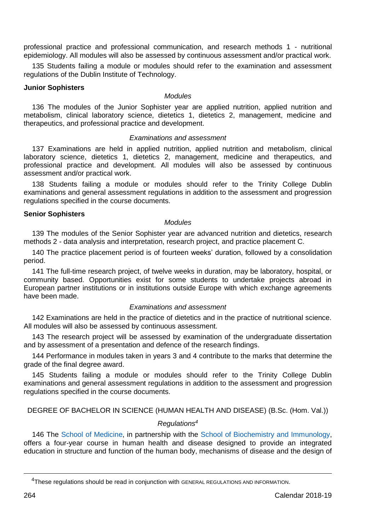professional practice and professional communication, and research methods 1 - nutritional epidemiology. All modules will also be assessed by continuous assessment and/or practical work.

135 Students failing a module or modules should refer to the examination and assessment regulations of the Dublin Institute of Technology.

#### **Junior Sophisters**

#### *Modules*

136 The modules of the Junior Sophister year are applied nutrition, applied nutrition and metabolism, clinical laboratory science, dietetics 1, dietetics 2, management, medicine and therapeutics, and professional practice and development.

#### *Examinations and assessment*

137 Examinations are held in applied nutrition, applied nutrition and metabolism, clinical laboratory science, dietetics 1, dietetics 2, management, medicine and therapeutics, and professional practice and development. All modules will also be assessed by continuous assessment and/or practical work.

138 Students failing a module or modules should refer to the Trinity College Dublin examinations and general assessment regulations in addition to the assessment and progression regulations specified in the course documents.

#### **Senior Sophisters**

#### *Modules*

139 The modules of the Senior Sophister year are advanced nutrition and dietetics, research methods 2 - data analysis and interpretation, research project, and practice placement C.

140 The practice placement period is of fourteen weeks' duration, followed by a consolidation period.

141 The full-time research project, of twelve weeks in duration, may be laboratory, hospital, or community based. Opportunities exist for some students to undertake projects abroad in European partner institutions or in institutions outside Europe with which exchange agreements have been made.

# *Examinations and assessment*

142 Examinations are held in the practice of dietetics and in the practice of nutritional science. All modules will also be assessed by continuous assessment.

143 The research project will be assessed by examination of the undergraduate dissertation and by assessment of a presentation and defence of the research findings.

144 Performance in modules taken in years 3 and 4 contribute to the marks that determine the grade of the final degree award.

145 Students failing a module or modules should refer to the Trinity College Dublin examinations and general assessment regulations in addition to the assessment and progression regulations specified in the course documents.

DEGREE OF BACHELOR IN SCIENCE (HUMAN HEALTH AND DISEASE) (B.Sc. (Hom. Val.))

# *Regulations<sup>4</sup>*

146 The [School of Medicine,](http://medicine.tcd.ie/) in partnership with the [School of Biochemistry and Immunology,](http://www.tcd.ie/Biochemistry/) offers a four-year course in human health and disease designed to provide an integrated education in structure and function of the human body, mechanisms of disease and the design of

<u>.</u>

<sup>4</sup>These regulations should be read in conjunction with GENERAL REGULATIONS AND INFORMATION.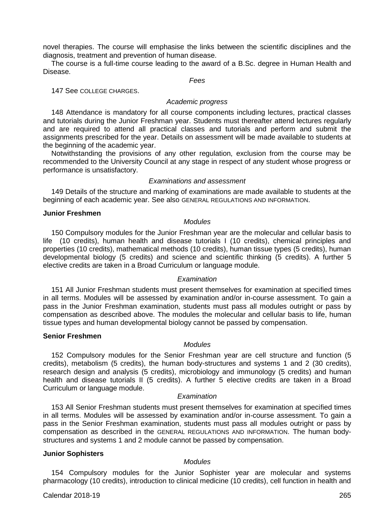novel therapies. The course will emphasise the links between the scientific disciplines and the diagnosis, treatment and prevention of human disease.

The course is a full-time course leading to the award of a B.Sc. degree in Human Health and Disease.

*Fees*

147 See COLLEGE CHARGES.

# *Academic progress*

148 Attendance is mandatory for all course components including lectures, practical classes and tutorials during the Junior Freshman year. Students must thereafter attend lectures regularly and are required to attend all practical classes and tutorials and perform and submit the assignments prescribed for the year. Details on assessment will be made available to students at the beginning of the academic year.

Notwithstanding the provisions of any other regulation, exclusion from the course may be recommended to the University Council at any stage in respect of any student whose progress or performance is unsatisfactory.

#### *Examinations and assessment*

149 Details of the structure and marking of examinations are made available to students at the beginning of each academic year. See also GENERAL REGULATIONS AND INFORMATION.

#### **Junior Freshmen**

#### *Modules*

150 Compulsory modules for the Junior Freshman year are the molecular and cellular basis to life (10 credits), human health and disease tutorials I (10 credits), chemical principles and properties (10 credits), mathematical methods (10 credits), human tissue types (5 credits), human developmental biology (5 credits) and science and scientific thinking (5 credits). A further 5 elective credits are taken in a Broad Curriculum or language module.

#### *Examination*

151 All Junior Freshman students must present themselves for examination at specified times in all terms. Modules will be assessed by examination and/or in-course assessment. To gain a pass in the Junior Freshman examination, students must pass all modules outright or pass by compensation as described above. The modules the molecular and cellular basis to life, human tissue types and human developmental biology cannot be passed by compensation.

# **Senior Freshmen**

# *Modules*

152 Compulsory modules for the Senior Freshman year are cell structure and function (5 credits), metabolism (5 credits), the human body-structures and systems 1 and 2 (30 credits), research design and analysis (5 credits), microbiology and immunology (5 credits) and human health and disease tutorials II (5 credits). A further 5 elective credits are taken in a Broad Curriculum or language module.

#### *Examination*

153 All Senior Freshman students must present themselves for examination at specified times in all terms. Modules will be assessed by examination and/or in-course assessment. To gain a pass in the Senior Freshman examination, students must pass all modules outright or pass by compensation as described in the GENERAL REGULATIONS AND INFORMATION. The human bodystructures and systems 1 and 2 module cannot be passed by compensation.

# **Junior Sophisters**

#### *Modules*

154 Compulsory modules for the Junior Sophister year are molecular and systems pharmacology (10 credits), introduction to clinical medicine (10 credits), cell function in health and

Calendar 2018-19 265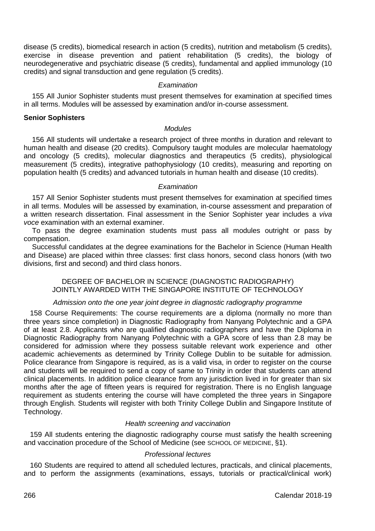disease (5 credits), biomedical research in action (5 credits), nutrition and metabolism (5 credits), exercise in disease prevention and patient rehabilitation (5 credits), the biology of neurodegenerative and psychiatric disease (5 credits), fundamental and applied immunology (10 credits) and signal transduction and gene regulation (5 credits).

#### *Examination*

155 All Junior Sophister students must present themselves for examination at specified times in all terms. Modules will be assessed by examination and/or in-course assessment.

#### **Senior Sophisters**

#### *Modules*

156 All students will undertake a research project of three months in duration and relevant to human health and disease (20 credits). Compulsory taught modules are molecular haematology and oncology (5 credits), molecular diagnostics and therapeutics (5 credits), physiological measurement (5 credits), integrative pathophysiology (10 credits), measuring and reporting on population health (5 credits) and advanced tutorials in human health and disease (10 credits).

#### *Examination*

157 All Senior Sophister students must present themselves for examination at specified times in all terms. Modules will be assessed by examination, in-course assessment and preparation of a written research dissertation. Final assessment in the Senior Sophister year includes a *viva voce* examination with an external examiner.

To pass the degree examination students must pass all modules outright or pass by compensation.

Successful candidates at the degree examinations for the Bachelor in Science (Human Health and Disease) are placed within three classes: first class honors, second class honors (with two divisions, first and second) and third class honors.

DEGREE OF BACHELOR IN SCIENCE (DIAGNOSTIC RADIOGRAPHY) JOINTLY AWARDED WITH THE SINGAPORE INSTITUTE OF TECHNOLOGY

# *Admission onto the one year joint degree in diagnostic radiography programme*

158 Course Requirements: The course requirements are a diploma (normally no more than three years since completion) in Diagnostic Radiography from Nanyang Polytechnic and a GPA of at least 2.8. Applicants who are qualified diagnostic radiographers and have the Diploma in Diagnostic Radiography from Nanyang Polytechnic with a GPA score of less than 2.8 may be considered for admission where they possess suitable relevant work experience and other academic achievements as determined by Trinity College Dublin to be suitable for admission. Police clearance from Singapore is required, as is a valid visa, in order to register on the course and students will be required to send a copy of same to Trinity in order that students can attend clinical placements. In addition police clearance from any jurisdiction lived in for greater than six months after the age of fifteen years is required for registration. There is no English language requirement as students entering the course will have completed the three years in Singapore through English. Students will register with both Trinity College Dublin and Singapore Institute of Technology.

# *Health screening and vaccination*

159 All students entering the diagnostic radiography course must satisfy the health screening and vaccination procedure of the School of Medicine (see SCHOOL OF MEDICINE, §1).

# *Professional lectures*

160 Students are required to attend all scheduled lectures, practicals, and clinical placements, and to perform the assignments (examinations, essays, tutorials or practical/clinical work)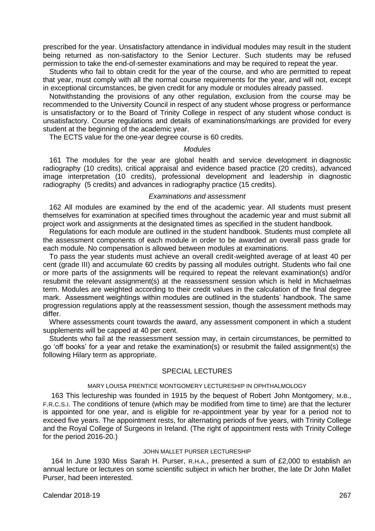prescribed for the year. Unsatisfactory attendance in individual modules may result in the student being returned as non-satisfactory to the Senior Lecturer. Such students may be refused permission to take the end-of-semester examinations and may be required to repeat the year.

Students who fail to obtain credit for the year of the course, and who are permitted to repeat that year, must comply with all the normal course requirements for the year, and will not, except in exceptional circumstances, be given credit for any module or modules already passed.

Notwithstanding the provisions of any other regulation, exclusion from the course may be recommended to the University Council in respect of any student whose progress or performance is unsatisfactory or to the Board of Trinity College in respect of any student whose conduct is unsatisfactory. Course regulations and details of examinations/markings are provided for every student at the beginning of the academic year.

The ECTS value for the one-year degree course is 60 credits.

#### *Modules*

161 The modules for the year are global health and service development in diagnostic radiography (10 credits), critical appraisal and evidence based practice (20 credits), advanced image interpretation (10 credits), professional development and leadership in diagnostic radiography (5 credits) and advances in radiography practice (15 credits).

#### *Examinations and assessment*

162 All modules are examined by the end of the academic year. All students must present themselves for examination at specified times throughout the academic year and must submit all project work and assignments at the designated times as specified in the student handbook.

Regulations for each module are outlined in the student handbook. Students must complete all the assessment components of each module in order to be awarded an overall pass grade for each module. No compensation is allowed between modules at examinations.

To pass the year students must achieve an overall credit-weighted average of at least 40 per cent (grade III) and accumulate 60 credits by passing all modules outright. Students who fail one or more parts of the assignments will be required to repeat the relevant examination(s) and/or resubmit the relevant assignment(s) at the reassessment session which is held in Michaelmas term. Modules are weighted according to their credit values in the calculation of the final degree mark. Assessment weightings within modules are outlined in the students' handbook. The same progression regulations apply at the reassessment session, though the assessment methods may differ.

Where assessments count towards the award, any assessment component in which a student supplements will be capped at 40 per cent.

Students who fail at the reassessment session may, in certain circumstances, be permitted to go 'off books' for a year and retake the examination(s) or resubmit the failed assignment(s) the following Hilary term as appropriate.

#### SPECIAL LECTURES

#### MARY LOUISA PRENTICE MONTGOMERY LECTURESHIP IN OPHTHALMOLOGY

163 This lectureship was founded in 1915 by the bequest of Robert John Montgomery, M.B., F.R.C.S.I. The conditions of tenure (which may be modified from time to time) are that the lecturer is appointed for one year, and is eligible for re-appointment year by year for a period not to exceed five years. The appointment rests, for alternating periods of five years, with Trinity College and the Royal College of Surgeons in Ireland. (The right of appointment rests with Trinity College for the period 2016-20.)

#### JOHN MALLET PURSER LECTURESHIP

164 In June 1930 Miss Sarah H. Purser, R.H.A., presented a sum of £2,000 to establish an annual lecture or lectures on some scientific subject in which her brother, the late Dr John Mallet Purser, had been interested.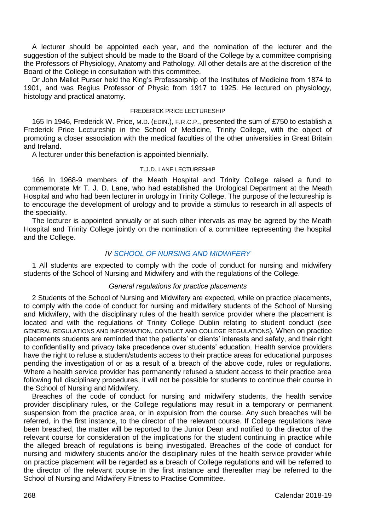A lecturer should be appointed each year, and the nomination of the lecturer and the suggestion of the subject should be made to the Board of the College by a committee comprising the Professors of Physiology, Anatomy and Pathology. All other details are at the discretion of the Board of the College in consultation with this committee.

Dr John Mallet Purser held the King's Professorship of the Institutes of Medicine from 1874 to 1901, and was Regius Professor of Physic from 1917 to 1925. He lectured on physiology, histology and practical anatomy.

#### FREDERICK PRICE LECTURESHIP

165 In 1946, Frederick W. Price, M.D. (EDIN.), F.R.C.P., presented the sum of £750 to establish a Frederick Price Lectureship in the School of Medicine, Trinity College, with the object of promoting a closer association with the medical faculties of the other universities in Great Britain and Ireland.

A lecturer under this benefaction is appointed biennially.

#### T.J.D. LANE LECTURESHIP

166 In 1968-9 members of the Meath Hospital and Trinity College raised a fund to commemorate Mr T. J. D. Lane, who had established the Urological Department at the Meath Hospital and who had been lecturer in urology in Trinity College. The purpose of the lectureship is to encourage the development of urology and to provide a stimulus to research in all aspects of the speciality.

The lecturer is appointed annually or at such other intervals as may be agreed by the Meath Hospital and Trinity College jointly on the nomination of a committee representing the hospital and the College.

#### *I[V SCHOOL OF NURSING AND MIDWIFERY](http://nursing-midwifery.tcd.ie/)*

1 All students are expected to comply with the code of conduct for nursing and midwifery students of the School of Nursing and Midwifery and with the regulations of the College*.*

#### *General regulations for practice placements*

2 Students of the School of Nursing and Midwifery are expected, while on practice placements, to comply with the code of conduct for nursing and midwifery students of the School of Nursing and Midwifery, with the disciplinary rules of the health service provider where the placement is located and with the regulations of Trinity College Dublin relating to student conduct (see GENERAL REGULATIONS AND INFORMATION, CONDUCT AND COLLEGE REGULATIONS)*.* When on practice placements students are reminded that the patients' or clients' interests and safety, and their right to confidentiality and privacy take precedence over students' education. Health service providers have the right to refuse a student/students access to their practice areas for educational purposes pending the investigation of or as a result of a breach of the above code, rules or regulations. Where a health service provider has permanently refused a student access to their practice area following full disciplinary procedures, it will not be possible for students to continue their course in the School of Nursing and Midwifery.

Breaches of the code of conduct for nursing and midwifery students, the health service provider disciplinary rules, or the College regulations may result in a temporary or permanent suspension from the practice area, or in expulsion from the course. Any such breaches will be referred, in the first instance, to the director of the relevant course. If College regulations have been breached, the matter will be reported to the Junior Dean and notified to the director of the relevant course for consideration of the implications for the student continuing in practice while the alleged breach of regulations is being investigated. Breaches of the code of conduct for nursing and midwifery students and/or the disciplinary rules of the health service provider while on practice placement will be regarded as a breach of College regulations and will be referred to the director of the relevant course in the first instance and thereafter may be referred to the School of Nursing and Midwifery Fitness to Practise Committee.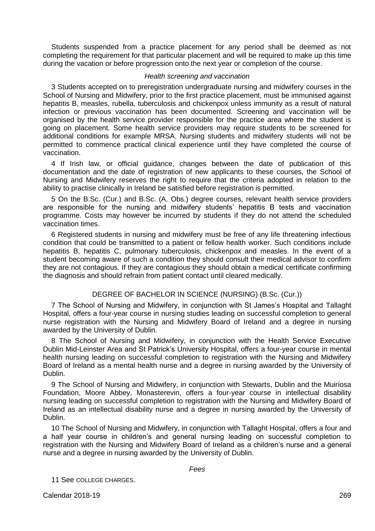Students suspended from a practice placement for any period shall be deemed as not completing the requirement for that particular placement and will be required to make up this time during the vacation or before progression onto the next year or completion of the course.

#### *Health screening and vaccination*

3 Students accepted on to preregistration undergraduate nursing and midwifery courses in the School of Nursing and Midwifery, prior to the first practice placement, must be immunised against hepatitis B, measles, rubella, tuberculosis and chickenpox unless immunity as a result of natural infection or previous vaccination has been documented. Screening and vaccination will be organised by the health service provider responsible for the practice area where the student is going on placement. Some health service providers may require students to be screened for additional conditions for example MRSA. Nursing students and midwifery students will not be permitted to commence practical clinical experience until they have completed the course of vaccination.

4 If Irish law, or official guidance, changes between the date of publication of this documentation and the date of registration of new applicants to these courses, the School of Nursing and Midwifery reserves the right to require that the criteria adopted in relation to the ability to practise clinically in Ireland be satisfied before registration is permitted.

5 On the B.Sc. (Cur.) and B.Sc. (A. Obs.) degree courses, relevant health service providers are responsible for the nursing and midwifery students' hepatitis B tests and vaccination programme. Costs may however be incurred by students if they do not attend the scheduled vaccination times.

6 Registered students in nursing and midwifery must be free of any life threatening infectious condition that could be transmitted to a patient or fellow health worker. Such conditions include hepatitis B, hepatitis C, pulmonary tuberculosis, chickenpox and measles. In the event of a student becoming aware of such a condition they should consult their medical advisor to confirm they are not contagious. If they are contagious they should obtain a medical certificate confirming the diagnosis and should refrain from patient contact until cleared medically.

# DEGREE OF BACHELOR IN SCIENCE (NURSING) (B.Sc. (Cur.))

7 The School of Nursing and Midwifery, in conjunction with St James's Hospital and Tallaght Hospital, offers a four-year course in nursing studies leading on successful completion to general nurse registration with the Nursing and Midwifery Board of Ireland and a degree in nursing awarded by the University of Dublin.

8 The School of Nursing and Midwifery, in conjunction with the Health Service Executive Dublin Mid-Leinster Area and St Patrick's University Hospital, offers a four-year course in mental health nursing leading on successful completion to registration with the Nursing and Midwifery Board of Ireland as a mental health nurse and a degree in nursing awarded by the University of Dublin.

9 The School of Nursing and Midwifery, in conjunction with Stewarts, Dublin and the Muiríosa Foundation, Moore Abbey, Monasterevin, offers a four-year course in intellectual disability nursing leading on successful completion to registration with the Nursing and Midwifery Board of Ireland as an intellectual disability nurse and a degree in nursing awarded by the University of Dublin.

10 The School of Nursing and Midwifery, in conjunction with Tallaght Hospital, offers a four and a half year course in children's and general nursing leading on successful completion to registration with the Nursing and Midwifery Board of Ireland as a children's nurse and a general nurse and a degree in nursing awarded by the University of Dublin.

*Fees*

11 See COLLEGE CHARGES.

Calendar 2018-19 269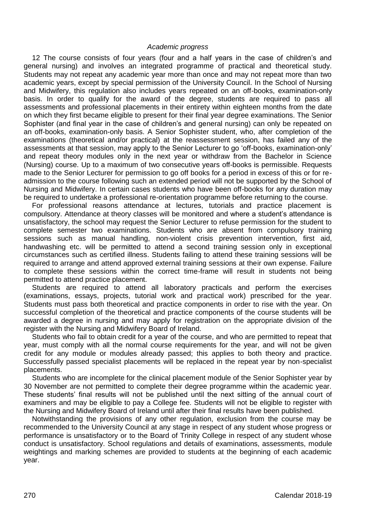#### *Academic progress*

12 The course consists of four years (four and a half years in the case of children's and general nursing) and involves an integrated programme of practical and theoretical study. Students may not repeat any academic year more than once and may not repeat more than two academic years, except by special permission of the University Council. In the School of Nursing and Midwifery, this regulation also includes years repeated on an off-books, examination-only basis. In order to qualify for the award of the degree, students are required to pass all assessments and professional placements in their entirety within eighteen months from the date on which they first became eligible to present for their final year degree examinations. The Senior Sophister (and final year in the case of children's and general nursing) can only be repeated on an off-books, examination-only basis. A Senior Sophister student, who, after completion of the examinations (theoretical and/or practical) at the reassessment session, has failed any of the assessments at that session, may apply to the Senior Lecturer to go 'off-books, examination-only' and repeat theory modules only in the next year or withdraw from the Bachelor in Science (Nursing) course. Up to a maximum of two consecutive years off-books is permissible. Requests made to the Senior Lecturer for permission to go off books for a period in excess of this or for readmission to the course following such an extended period will not be supported by the School of Nursing and Midwifery. In certain cases students who have been off-books for any duration may be required to undertake a professional re-orientation programme before returning to the course.

For professional reasons attendance at lectures, tutorials and practice placement is compulsory. Attendance at theory classes will be monitored and where a student's attendance is unsatisfactory, the school may request the Senior Lecturer to refuse permission for the student to complete semester two examinations. Students who are absent from compulsory training sessions such as manual handling, non-violent crisis prevention intervention, first aid, handwashing etc. will be permitted to attend a second training session only in exceptional circumstances such as certified illness. Students failing to attend these training sessions will be required to arrange and attend approved external training sessions at their own expense. Failure to complete these sessions within the correct time-frame will result in students not being permitted to attend practice placement.

Students are required to attend all laboratory practicals and perform the exercises (examinations, essays, projects, tutorial work and practical work) prescribed for the year. Students must pass both theoretical and practice components in order to rise with the year. On successful completion of the theoretical and practice components of the course students will be awarded a degree in nursing and may apply for registration on the appropriate division of the register with the Nursing and Midwifery Board of Ireland.

Students who fail to obtain credit for a year of the course, and who are permitted to repeat that year, must comply with all the normal course requirements for the year, and will not be given credit for any module or modules already passed; this applies to both theory and practice. Successfully passed specialist placements will be replaced in the repeat year by non-specialist placements.

Students who are incomplete for the clinical placement module of the Senior Sophister year by 30 November are not permitted to complete their degree programme within the academic year. These students' final results will not be published until the next sitting of the annual court of examiners and may be eligible to pay a College fee. Students will not be eligible to register with the Nursing and Midwifery Board of Ireland until after their final results have been published.

Notwithstanding the provisions of any other regulation, exclusion from the course may be recommended to the University Council at any stage in respect of any student whose progress or performance is unsatisfactory or to the Board of Trinity College in respect of any student whose conduct is unsatisfactory. School regulations and details of examinations, assessments, module weightings and marking schemes are provided to students at the beginning of each academic year.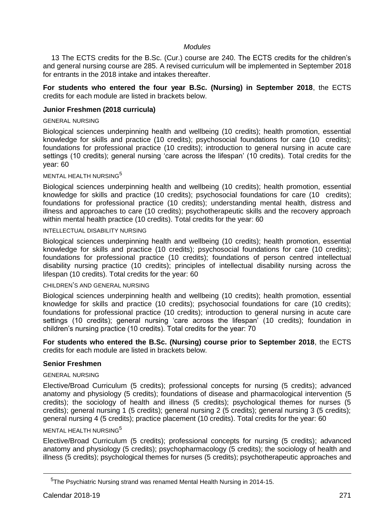# *Modules*

13 The ECTS credits for the B.Sc. (Cur.) course are 240. The ECTS credits for the children's and general nursing course are 285. A revised curriculum will be implemented in September 2018 for entrants in the 2018 intake and intakes thereafter.

#### **For students who entered the four year B.Sc. (Nursing) in September 2018**, the ECTS credits for each module are listed in brackets below.

# **Junior Freshmen (2018 curricula)**

#### GENERAL NURSING

Biological sciences underpinning health and wellbeing (10 credits); health promotion, essential knowledge for skills and practice (10 credits); psychosocial foundations for care (10 credits); foundations for professional practice (10 credits); introduction to general nursing in acute care settings (10 credits); general nursing 'care across the lifespan' (10 credits). Total credits for the year: 60

#### MENTAL HEALTH NURSING 5

Biological sciences underpinning health and wellbeing (10 credits); health promotion, essential knowledge for skills and practice (10 credits); psychosocial foundations for care (10 credits); foundations for professional practice (10 credits); understanding mental health, distress and illness and approaches to care (10 credits); psychotherapeutic skills and the recovery approach within mental health practice (10 credits). Total credits for the year: 60

#### INTELLECTUAL DISABILITY NURSING

Biological sciences underpinning health and wellbeing (10 credits); health promotion, essential knowledge for skills and practice (10 credits); psychosocial foundations for care (10 credits); foundations for professional practice (10 credits); foundations of person centred intellectual disability nursing practice (10 credits); principles of intellectual disability nursing across the lifespan (10 credits). Total credits for the year: 60

#### CHILDREN'S AND GENERAL NURSING

Biological sciences underpinning health and wellbeing (10 credits); health promotion, essential knowledge for skills and practice (10 credits); psychosocial foundations for care (10 credits); foundations for professional practice (10 credits); introduction to general nursing in acute care settings (10 credits); general nursing 'care across the lifespan' (10 credits); foundation in children's nursing practice (10 credits). Total credits for the year: 70

**For students who entered the B.Sc. (Nursing) course prior to September 2018**, the ECTS credits for each module are listed in brackets below.

# **Senior Freshmen**

#### GENERAL NURSING

Elective/Broad Curriculum (5 credits); professional concepts for nursing (5 credits); advanced anatomy and physiology (5 credits); foundations of disease and pharmacological intervention (5 credits); the sociology of health and illness (5 credits); psychological themes for nurses (5 credits); general nursing 1 (5 credits); general nursing 2 (5 credits); general nursing 3 (5 credits); general nursing 4 (5 credits); practice placement (10 credits). Total credits for the year: 60

# MENTAL HEALTH NURSING<sup>5</sup>

Elective/Broad Curriculum (5 credits); professional concepts for nursing (5 credits); advanced anatomy and physiology (5 credits); psychopharmacology (5 credits); the sociology of health and illness (5 credits); psychological themes for nurses (5 credits); psychotherapeutic approaches and

<u>.</u>

<sup>5</sup>The Psychiatric Nursing strand was renamed Mental Health Nursing in 2014-15.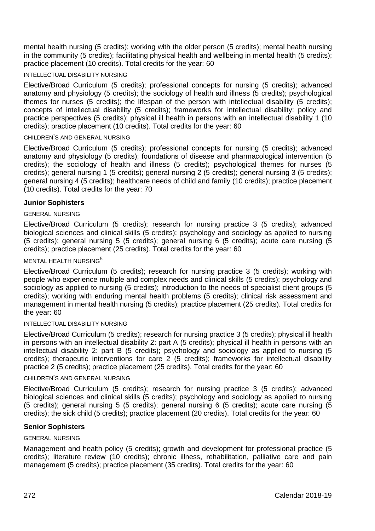mental health nursing (5 credits); working with the older person (5 credits); mental health nursing in the community (5 credits); facilitating physical health and wellbeing in mental health (5 credits); practice placement (10 credits). Total credits for the year: 60

#### INTELLECTUAL DISABILITY NURSING

Elective/Broad Curriculum (5 credits); professional concepts for nursing (5 credits); advanced anatomy and physiology (5 credits); the sociology of health and illness (5 credits); psychological themes for nurses (5 credits); the lifespan of the person with intellectual disability (5 credits); concepts of intellectual disability (5 credits); frameworks for intellectual disability: policy and practice perspectives (5 credits); physical ill health in persons with an intellectual disability 1 (10 credits); practice placement (10 credits). Total credits for the year: 60

# CHILDREN'S AND GENERAL NURSING

Elective/Broad Curriculum (5 credits); professional concepts for nursing (5 credits); advanced anatomy and physiology (5 credits); foundations of disease and pharmacological intervention (5 credits); the sociology of health and illness (5 credits); psychological themes for nurses (5 credits); general nursing 1 (5 credits); general nursing 2 (5 credits); general nursing 3 (5 credits); general nursing 4 (5 credits); healthcare needs of child and family (10 credits); practice placement (10 credits). Total credits for the year: 70

# **Junior Sophisters**

#### GENERAL NURSING

Elective/Broad Curriculum (5 credits); research for nursing practice 3 (5 credits); advanced biological sciences and clinical skills (5 credits); psychology and sociology as applied to nursing (5 credits); general nursing 5 (5 credits); general nursing 6 (5 credits); acute care nursing (5 credits); practice placement (25 credits). Total credits for the year: 60

# MENTAL HEALTH NURSING<sup>5</sup>

Elective/Broad Curriculum (5 credits); research for nursing practice 3 (5 credits); working with people who experience multiple and complex needs and clinical skills (5 credits); psychology and sociology as applied to nursing (5 credits); introduction to the needs of specialist client groups (5 credits); working with enduring mental health problems (5 credits); clinical risk assessment and management in mental health nursing (5 credits); practice placement (25 credits). Total credits for the year: 60

#### INTELLECTUAL DISABILITY NURSING

Elective/Broad Curriculum (5 credits); research for nursing practice 3 (5 credits); physical ill health in persons with an intellectual disability 2: part A (5 credits); physical ill health in persons with an intellectual disability 2: part B (5 credits); psychology and sociology as applied to nursing (5 credits); therapeutic interventions for care 2 (5 credits); frameworks for intellectual disability practice 2 (5 credits); practice placement (25 credits). Total credits for the year: 60

#### CHILDREN'S AND GENERAL NURSING

Elective/Broad Curriculum (5 credits); research for nursing practice 3 (5 credits); advanced biological sciences and clinical skills (5 credits); psychology and sociology as applied to nursing (5 credits); general nursing 5 (5 credits); general nursing 6 (5 credits); acute care nursing (5 credits); the sick child (5 credits); practice placement (20 credits). Total credits for the year: 60

# **Senior Sophisters**

# GENERAL NURSING

Management and health policy (5 credits); growth and development for professional practice (5 credits); literature review (10 credits); chronic illness, rehabilitation, palliative care and pain management (5 credits); practice placement (35 credits). Total credits for the year: 60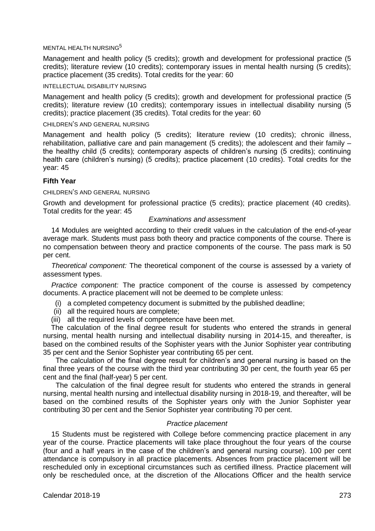#### MENTAL HEALTH NURSING<sup>5</sup>

Management and health policy (5 credits); growth and development for professional practice (5 credits); literature review (10 credits); contemporary issues in mental health nursing (5 credits); practice placement (35 credits). Total credits for the year: 60

#### INTELLECTUAL DISABILITY NURSING

Management and health policy (5 credits); growth and development for professional practice (5 credits); literature review (10 credits); contemporary issues in intellectual disability nursing (5 credits); practice placement (35 credits). Total credits for the year: 60

# CHILDREN'S AND GENERAL NURSING

Management and health policy (5 credits); literature review (10 credits); chronic illness, rehabilitation, palliative care and pain management (5 credits); the adolescent and their family – the healthy child (5 credits); contemporary aspects of children's nursing (5 credits); continuing health care (children's nursing) (5 credits); practice placement (10 credits). Total credits for the year: 45

# **Fifth Year**

# CHILDREN'S AND GENERAL NURSING

Growth and development for professional practice (5 credits); practice placement (40 credits). Total credits for the year: 45

# *Examinations and assessment*

14 Modules are weighted according to their credit values in the calculation of the end-of-year average mark. Students must pass both theory and practice components of the course. There is no compensation between theory and practice components of the course. The pass mark is 50 per cent.

*Theoretical component:* The theoretical component of the course is assessed by a variety of assessment types.

*Practice component:* The practice component of the course is assessed by competency documents. A practice placement will not be deemed to be complete unless:

- (i) a completed competency document is submitted by the published deadline;
- (ii) all the required hours are complete;
- (iii) all the required levels of competence have been met.

The calculation of the final degree result for students who entered the strands in general nursing, mental health nursing and intellectual disability nursing in 2014-15, and thereafter, is based on the combined results of the Sophister years with the Junior Sophister year contributing 35 per cent and the Senior Sophister year contributing 65 per cent.

The calculation of the final degree result for children's and general nursing is based on the final three years of the course with the third year contributing 30 per cent, the fourth year 65 per cent and the final (half-year) 5 per cent.

The calculation of the final degree result for students who entered the strands in general nursing, mental health nursing and intellectual disability nursing in 2018-19, and thereafter, will be based on the combined results of the Sophister years only with the Junior Sophister year contributing 30 per cent and the Senior Sophister year contributing 70 per cent.

# *Practice placement*

15 Students must be registered with College before commencing practice placement in any year of the course. Practice placements will take place throughout the four years of the course (four and a half years in the case of the children's and general nursing course). 100 per cent attendance is compulsory in all practice placements. Absences from practice placement will be rescheduled only in exceptional circumstances such as certified illness. Practice placement will only be rescheduled once, at the discretion of the Allocations Officer and the health service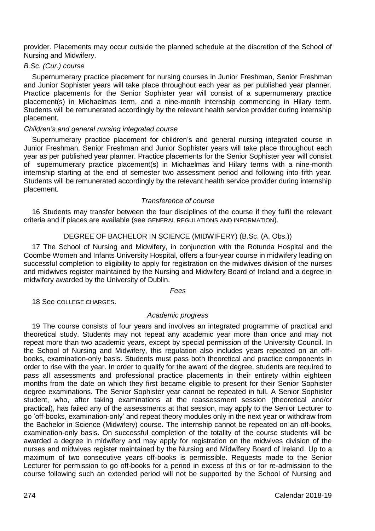provider. Placements may occur outside the planned schedule at the discretion of the School of Nursing and Midwifery.

# *B.Sc. (Cur.) course*

Supernumerary practice placement for nursing courses in Junior Freshman, Senior Freshman and Junior Sophister years will take place throughout each year as per published year planner. Practice placements for the Senior Sophister year will consist of a supernumerary practice placement(s) in Michaelmas term, and a nine-month internship commencing in Hilary term. Students will be remunerated accordingly by the relevant health service provider during internship placement.

# *Children's and general nursing integrated course*

Supernumerary practice placement for children's and general nursing integrated course in Junior Freshman, Senior Freshman and Junior Sophister years will take place throughout each year as per published year planner. Practice placements for the Senior Sophister year will consist of supernumerary practice placement(s) in Michaelmas and Hilary terms with a nine-month internship starting at the end of semester two assessment period and following into fifth year. Students will be remunerated accordingly by the relevant health service provider during internship placement.

# *Transference of course*

16 Students may transfer between the four disciplines of the course if they fulfil the relevant criteria and if places are available (see GENERAL REGULATIONS AND INFORMATION).

# DEGREE OF BACHELOR IN SCIENCE (MIDWIFERY) (B.Sc. (A. Obs.))

17 The School of Nursing and Midwifery, in conjunction with the Rotunda Hospital and the Coombe Women and Infants University Hospital, offers a four-year course in midwifery leading on successful completion to eligibility to apply for registration on the midwives division of the nurses and midwives register maintained by the Nursing and Midwifery Board of Ireland and a degree in midwifery awarded by the University of Dublin.

#### *Fees*

18 See COLLEGE CHARGES.

#### *Academic progress*

19 The course consists of four years and involves an integrated programme of practical and theoretical study. Students may not repeat any academic year more than once and may not repeat more than two academic years, except by special permission of the University Council. In the School of Nursing and Midwifery, this regulation also includes years repeated on an offbooks, examination-only basis. Students must pass both theoretical and practice components in order to rise with the year. In order to qualify for the award of the degree, students are required to pass all assessments and professional practice placements in their entirety within eighteen months from the date on which they first became eligible to present for their Senior Sophister degree examinations. The Senior Sophister year cannot be repeated in full. A Senior Sophister student, who, after taking examinations at the reassessment session (theoretical and/or practical), has failed any of the assessments at that session, may apply to the Senior Lecturer to go 'off-books, examination-only' and repeat theory modules only in the next year or withdraw from the Bachelor in Science (Midwifery) course. The internship cannot be repeated on an off-books, examination-only basis. On successful completion of the totality of the course students will be awarded a degree in midwifery and may apply for registration on the midwives division of the nurses and midwives register maintained by the Nursing and Midwifery Board of Ireland. Up to a maximum of two consecutive years off-books is permissible. Requests made to the Senior Lecturer for permission to go off-books for a period in excess of this or for re-admission to the course following such an extended period will not be supported by the School of Nursing and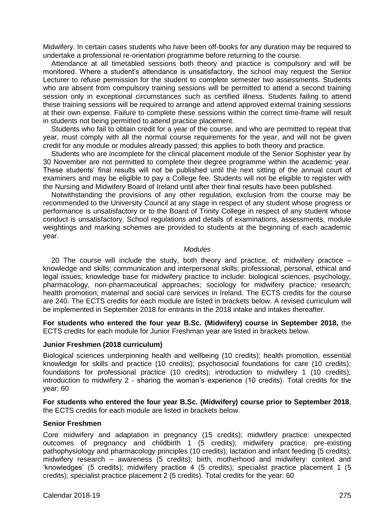Midwifery. In certain cases students who have been off-books for any duration may be required to undertake a professional re-orientation programme before returning to the course.

Attendance at all timetabled sessions both theory and practice is compulsory and will be monitored. Where a student's attendance is unsatisfactory, the school may request the Senior Lecturer to refuse permission for the student to complete semester two assessments. Students who are absent from compulsory training sessions will be permitted to attend a second training session only in exceptional circumstances such as certified illness. Students failing to attend these training sessions will be required to arrange and attend approved external training sessions at their own expense. Failure to complete these sessions within the correct time-frame will result in students not being permitted to attend practice placement.

Students who fail to obtain credit for a year of the course, and who are permitted to repeat that year, must comply with all the normal course requirements for the year, and will not be given credit for any module or modules already passed; this applies to both theory and practice.

Students who are incomplete for the clinical placement module of the Senior Sophister year by 30 November are not permitted to complete their degree programme within the academic year. These students' final results will not be published until the next sitting of the annual court of examiners and may be eligible to pay a College fee. Students will not be eligible to register with the Nursing and Midwifery Board of Ireland until after their final results have been published.

Notwithstanding the provisions of any other regulation, exclusion from the course may be recommended to the University Council at any stage in respect of any student whose progress or performance is unsatisfactory or to the Board of Trinity College in respect of any student whose conduct is unsatisfactory. School regulations and details of examinations, assessments, module weightings and marking schemes are provided to students at the beginning of each academic year.

#### *Modules*

20 The course will include the study, both theory and practice, of: midwifery practice – knowledge and skills; communication and interpersonal skills; professional, personal, ethical and legal issues; knowledge base for midwifery practice to include: biological sciences, psychology, pharmacology, non-pharmaceutical approaches; sociology for midwifery practice; research; health promotion; maternal and social care services in Ireland. The ECTS credits for the course are 240. The ECTS credits for each module are listed in brackets below. A revised curriculum will be implemented in September 2018 for entrants in the 2018 intake and intakes thereafter.

**For students who entered the four year B.Sc. (Midwifery) course in September 2018,** the ECTS credits for each module for Junior Freshman year are listed in brackets below.

# **Junior Freshmen (2018 curriculum)**

Biological sciences underpinning health and wellbeing (10 credits); health promotion, essential knowledge for skills and practice (10 credits); psychosocial foundations for care (10 credits); foundations for professional practice (10 credits); introduction to midwifery 1 (10 credits); introduction to midwifery 2 - sharing the woman's experience (10 credits). Total credits for the year: 60

**For students who entered the four year B.Sc. (Midwifery) course prior to September 2018**, the ECTS credits for each module are listed in brackets below.

#### **Senior Freshmen**

Core midwifery and adaptation in pregnancy (15 credits); midwifery practice: unexpected outcomes of pregnancy and childbirth 1 (5 credits); midwifery practice: pre-existing pathophysiology and pharmacology principles (10 credits); lactation and infant feeding (5 credits); midwifery research – awareness (5 credits); birth, motherhood and midwifery: context and 'knowledges' (5 credits); midwifery practice 4 (5 credits); specialist practice placement 1 (5 credits); specialist practice placement 2 (5 credits). Total credits for the year: 60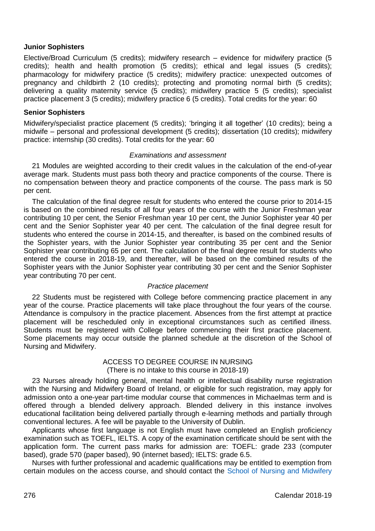#### **Junior Sophisters**

Elective/Broad Curriculum (5 credits); midwifery research – evidence for midwifery practice (5 credits); health and health promotion (5 credits); ethical and legal issues (5 credits); pharmacology for midwifery practice (5 credits); midwifery practice: unexpected outcomes of pregnancy and childbirth 2 (10 credits); protecting and promoting normal birth (5 credits); delivering a quality maternity service (5 credits); midwifery practice 5 (5 credits); specialist practice placement 3 (5 credits); midwifery practice 6 (5 credits). Total credits for the year: 60

# **Senior Sophisters**

Midwifery/specialist practice placement (5 credits); 'bringing it all together' (10 credits); being a midwife – personal and professional development (5 credits); dissertation (10 credits); midwifery practice: internship (30 credits). Total credits for the year: 60

# *Examinations and assessment*

21 Modules are weighted according to their credit values in the calculation of the end-of-year average mark. Students must pass both theory and practice components of the course. There is no compensation between theory and practice components of the course. The pass mark is 50 per cent.

The calculation of the final degree result for students who entered the course prior to 2014-15 is based on the combined results of all four years of the course with the Junior Freshman year contributing 10 per cent, the Senior Freshman year 10 per cent, the Junior Sophister year 40 per cent and the Senior Sophister year 40 per cent. The calculation of the final degree result for students who entered the course in 2014-15, and thereafter, is based on the combined results of the Sophister years, with the Junior Sophister year contributing 35 per cent and the Senior Sophister year contributing 65 per cent. The calculation of the final degree result for students who entered the course in 2018-19, and thereafter, will be based on the combined results of the Sophister years with the Junior Sophister year contributing 30 per cent and the Senior Sophister year contributing 70 per cent.

#### *Practice placement*

22 Students must be registered with College before commencing practice placement in any year of the course. Practice placements will take place throughout the four years of the course. Attendance is compulsory in the practice placement. Absences from the first attempt at practice placement will be rescheduled only in exceptional circumstances such as certified illness. Students must be registered with College before commencing their first practice placement. Some placements may occur outside the planned schedule at the discretion of the School of Nursing and Midwifery.

# ACCESS TO DEGREE COURSE IN NURSING (There is no intake to this course in 2018-19)

23 Nurses already holding general, mental health or intellectual disability nurse registration with the Nursing and Midwifery Board of Ireland, or eligible for such registration, may apply for admission onto a one-year part-time modular course that commences in Michaelmas term and is offered through a blended delivery approach. Blended delivery in this instance involves educational facilitation being delivered partially through e-learning methods and partially through conventional lectures. A fee will be payable to the University of Dublin.

Applicants whose first language is not English must have completed an English proficiency examination such as TOEFL, IELTS. A copy of the examination certificate should be sent with the application form. The current pass marks for admission are: TOEFL: grade 233 (computer based), grade 570 (paper based), 90 (internet based); IELTS: grade 6.5.

Nurses with further professional and academic qualifications may be entitled to exemption from certain modules on the access course, and should contact the School [of Nursing and Midwifery](http://nursing-midwifery.tcd.ie/)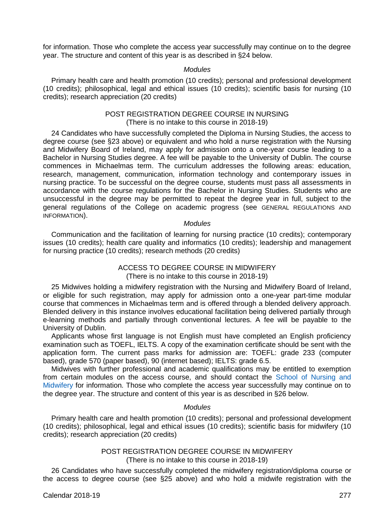for information. Those who complete the access year successfully may continue on to the degree year. The structure and content of this year is as described in §24 below.

#### *Modules*

Primary health care and health promotion (10 credits); personal and professional development (10 credits); philosophical, legal and ethical issues (10 credits); scientific basis for nursing (10 credits); research appreciation (20 credits)

#### POST REGISTRATION DEGREE COURSE IN NURSING (There is no intake to this course in 2018-19)

24 Candidates who have successfully completed the Diploma in Nursing Studies, the access to degree course (see §23 above) or equivalent and who hold a nurse registration with the Nursing and Midwifery Board of Ireland, may apply for admission onto a one-year course leading to a Bachelor in Nursing Studies degree. A fee will be payable to the University of Dublin. The course commences in Michaelmas term. The curriculum addresses the following areas: education, research, management, communication, information technology and contemporary issues in nursing practice. To be successful on the degree course, students must pass all assessments in accordance with the course regulations for the Bachelor in Nursing Studies. Students who are unsuccessful in the degree may be permitted to repeat the degree year in full, subject to the general regulations of the College on academic progress (see GENERAL REGULATIONS AND INFORMATION).

#### *Modules*

Communication and the facilitation of learning for nursing practice (10 credits); contemporary issues (10 credits); health care quality and informatics (10 credits); leadership and management for nursing practice (10 credits); research methods (20 credits)

#### ACCESS TO DEGREE COURSE IN MIDWIFERY (There is no intake to this course in 2018-19)

25 Midwives holding a midwifery registration with the Nursing and Midwifery Board of Ireland, or eligible for such registration, may apply for admission onto a one-year part-time modular course that commences in Michaelmas term and is offered through a blended delivery approach. Blended delivery in this instance involves educational facilitation being delivered partially through e-learning methods and partially through conventional lectures. A fee will be payable to the University of Dublin.

Applicants whose first language is not English must have completed an English proficiency examination such as TOEFL, IELTS. A copy of the examination certificate should be sent with the application form. The current pass marks for admission are: TOEFL: grade 233 (computer based), grade 570 (paper based), 90 (internet based); IELTS: grade 6.5.

Midwives with further professional and academic qualifications may be entitled to exemption from certain modules on the access course, and should contact the [School of Nursing and](http://nursing-midwifery.tcd.ie/)  [Midwifery](http://nursing-midwifery.tcd.ie/) for information. Those who complete the access year successfully may continue on to the degree year. The structure and content of this year is as described in §26 below.

#### *Modules*

Primary health care and health promotion (10 credits); personal and professional development (10 credits); philosophical, legal and ethical issues (10 credits); scientific basis for midwifery (10 credits); research appreciation (20 credits)

#### POST REGISTRATION DEGREE COURSE IN MIDWIFERY (There is no intake to this course in 2018-19)

26 Candidates who have successfully completed the midwifery registration/diploma course or the access to degree course (see §25 above) and who hold a midwife registration with the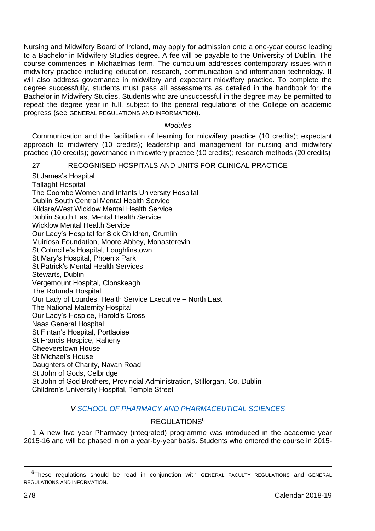Nursing and Midwifery Board of Ireland, may apply for admission onto a one-year course leading to a Bachelor in Midwifery Studies degree. A fee will be payable to the University of Dublin. The course commences in Michaelmas term. The curriculum addresses contemporary issues within midwifery practice including education, research, communication and information technology. It will also address governance in midwifery and expectant midwifery practice. To complete the degree successfully, students must pass all assessments as detailed in the handbook for the Bachelor in Midwifery Studies. Students who are unsuccessful in the degree may be permitted to repeat the degree year in full, subject to the general regulations of the College on academic progress (see GENERAL REGULATIONS AND INFORMATION).

# *Modules*

Communication and the facilitation of learning for midwifery practice (10 credits); expectant approach to midwifery (10 credits); leadership and management for nursing and midwifery practice (10 credits); governance in midwifery practice (10 credits); research methods (20 credits)

# 27 RECOGNISED HOSPITALS AND UNITS FOR CLINICAL PRACTICE

St James's Hospital Tallaght Hospital The Coombe Women and Infants University Hospital Dublin South Central Mental Health Service Kildare/West Wicklow Mental Health Service Dublin South East Mental Health Service Wicklow Mental Health Service Our Lady's Hospital for Sick Children, Crumlin Muiríosa Foundation, Moore Abbey, Monasterevin St Colmcille's Hospital, Loughlinstown St Mary's Hospital, Phoenix Park St Patrick's Mental Health Services Stewarts, Dublin Vergemount Hospital, Clonskeagh The Rotunda Hospital Our Lady of Lourdes, Health Service Executive – North East The National Maternity Hospital Our Lady's Hospice, Harold's Cross Naas General Hospital St Fintan's Hospital, Portlaoise St Francis Hospice, Raheny Cheeverstown House St Michael's House Daughters of Charity, Navan Road St John of Gods, Celbridge St John of God Brothers, Provincial Administration, Stillorgan, Co. Dublin Children's University Hospital, Temple Street

#### *V SCHOOL OF PHARMACY [AND PHARMACEUTICAL SCIENCES](http://pharmacy.tcd.ie/)*

# REGULATIONS<sup>6</sup>

1 A new five year Pharmacy (integrated) programme was introduced in the academic year 2015-16 and will be phased in on a year-by-year basis. Students who entered the course in 2015-

-

<sup>6</sup>These regulations should be read in conjunction with GENERAL FACULTY REGULATIONS and GENERAL REGULATIONS AND INFORMATION.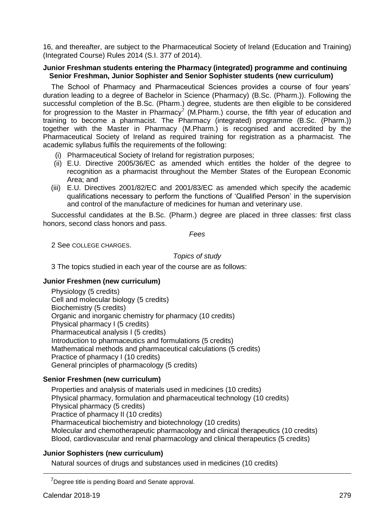16, and thereafter, are subject to the Pharmaceutical Society of Ireland (Education and Training) (Integrated Course) Rules 2014 (S.I. 377 of 2014).

#### **Junior Freshman students entering the Pharmacy (integrated) programme and continuing Senior Freshman, Junior Sophister and Senior Sophister students (new curriculum)**

The School of Pharmacy and Pharmaceutical Sciences provides a course of four years' duration leading to a degree of Bachelor in Science (Pharmacy) (B.Sc. (Pharm.)). Following the successful completion of the B.Sc. (Pharm.) degree, students are then eligible to be considered for progression to the Master in Pharmacy<sup>7</sup> (M.Pharm.) course, the fifth year of education and training to become a pharmacist. The Pharmacy (integrated) programme (B.Sc. (Pharm.)) together with the Master in Pharmacy (M.Pharm.) is recognised and accredited by the Pharmaceutical Society of Ireland as required training for registration as a pharmacist. The academic syllabus fulfils the requirements of the following:

- (i) Pharmaceutical Society of Ireland for registration purposes;
- (ii) E.U. Directive 2005/36/EC as amended which entitles the holder of the degree to recognition as a pharmacist throughout the Member States of the European Economic Area; and
- (iii) E.U. Directives 2001/82/EC and 2001/83/EC as amended which specify the academic qualifications necessary to perform the functions of 'Qualified Person' in the supervision and control of the manufacture of medicines for human and veterinary use.

Successful candidates at the B.Sc. (Pharm.) degree are placed in three classes: first class honors, second class honors and pass.

*Fees*

2 See COLLEGE CHARGES.

*Topics of study*

3 The topics studied in each year of the course are as follows:

# **Junior Freshmen (new curriculum)**

Physiology (5 credits) Cell and molecular biology (5 credits) Biochemistry (5 credits) Organic and inorganic chemistry for pharmacy (10 credits) Physical pharmacy I (5 credits) Pharmaceutical analysis I (5 credits) Introduction to pharmaceutics and formulations (5 credits) Mathematical methods and pharmaceutical calculations (5 credits) Practice of pharmacy I (10 credits) General principles of pharmacology (5 credits)

# **Senior Freshmen (new curriculum)**

Properties and analysis of materials used in medicines (10 credits) Physical pharmacy, formulation and pharmaceutical technology (10 credits) Physical pharmacy (5 credits) Practice of pharmacy II (10 credits) Pharmaceutical biochemistry and biotechnology (10 credits) Molecular and chemotherapeutic pharmacology and clinical therapeutics (10 credits) Blood, cardiovascular and renal pharmacology and clinical therapeutics (5 credits)

#### **Junior Sophisters (new curriculum)**

Natural sources of drugs and substances used in medicines (10 credits)

<u>.</u>

<sup>&</sup>lt;sup>7</sup>Degree title is pending Board and Senate approval.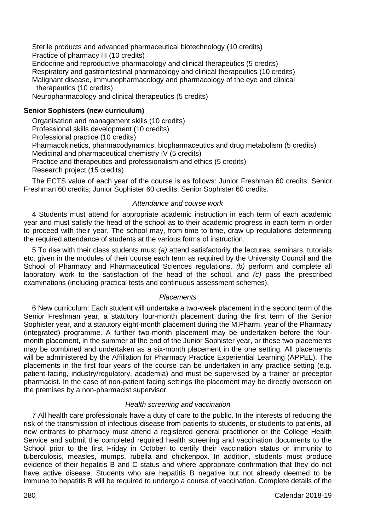Sterile products and advanced pharmaceutical biotechnology (10 credits) Practice of pharmacy III (10 credits) Endocrine and reproductive pharmacology and clinical therapeutics (5 credits) Respiratory and gastrointestinal pharmacology and clinical therapeutics (10 credits) Malignant disease, immunopharmacology and pharmacology of the eye and clinical therapeutics (10 credits) Neuropharmacology and clinical therapeutics (5 credits)

# **Senior Sophisters (new curriculum)**

Organisation and management skills (10 credits) Professional skills development (10 credits) Professional practice (10 credits) Pharmacokinetics, pharmacodynamics, biopharmaceutics and drug metabolism (5 credits) Medicinal and pharmaceutical chemistry IV (5 credits) Practice and therapeutics and professionalism and ethics (5 credits) Research project (15 credits)

The ECTS value of each year of the course is as follows: Junior Freshman 60 credits; Senior Freshman 60 credits; Junior Sophister 60 credits; Senior Sophister 60 credits.

#### *Attendance and course work*

4 Students must attend for appropriate academic instruction in each term of each academic year and must satisfy the head of the school as to their academic progress in each term in order to proceed with their year. The school may, from time to time, draw up regulations determining the required attendance of students at the various forms of instruction.

5 To rise with their class students must *(a)* attend satisfactorily the lectures, seminars, tutorials etc. given in the modules of their course each term as required by the University Council and the School of Pharmacy and Pharmaceutical Sciences regulations, *(b)* perform and complete all laboratory work to the satisfaction of the head of the school, and *(c)* pass the prescribed examinations (including practical tests and continuous assessment schemes).

#### *Placements*

6 New curriculum: Each student will undertake a two-week placement in the second term of the Senior Freshman year, a statutory four-month placement during the first term of the Senior Sophister year, and a statutory eight-month placement during the M.Pharm. year of the Pharmacy (integrated) programme. A further two-month placement may be undertaken before the fourmonth placement, in the summer at the end of the Junior Sophister year, or these two placements may be combined and undertaken as a six-month placement in the one setting. All placements will be administered by the Affiliation for Pharmacy Practice Experiential Learning (APPEL). The placements in the first four years of the course can be undertaken in any practice setting (e.g. patient-facing, industry/regulatory, academia) and must be supervised by a trainer or preceptor pharmacist. In the case of non-patient facing settings the placement may be directly overseen on the premises by a non-pharmacist supervisor.

#### *Health screening and vaccination*

7 All health care professionals have a duty of care to the public. In the interests of reducing the risk of the transmission of infectious disease from patients to students, or students to patients, all new entrants to pharmacy must attend a registered general practitioner or the College Health Service and submit the completed required health screening and vaccination documents to the School prior to the first Friday in October to certify their vaccination status or immunity to tuberculosis, measles, mumps, rubella and chickenpox. In addition, students must produce evidence of their hepatitis B and C status and where appropriate confirmation that they do not have active disease. Students who are hepatitis B negative but not already deemed to be immune to hepatitis B will be required to undergo a course of vaccination. Complete details of the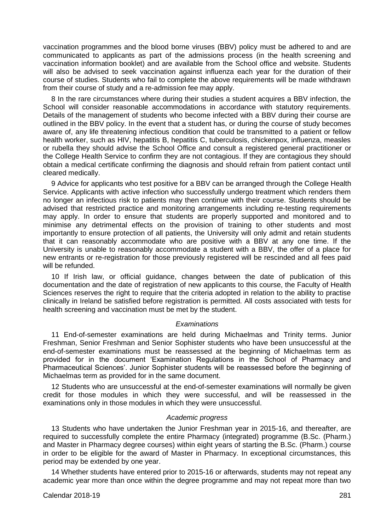vaccination programmes and the blood borne viruses (BBV) policy must be adhered to and are communicated to applicants as part of the admissions process (in the health screening and vaccination information booklet) and are available from the School office and website. Students will also be advised to seek vaccination against influenza each year for the duration of their course of studies. Students who fail to complete the above requirements will be made withdrawn from their course of study and a re-admission fee may apply.

8 In the rare circumstances where during their studies a student acquires a BBV infection, the School will consider reasonable accommodations in accordance with statutory requirements. Details of the management of students who become infected with a BBV during their course are outlined in the BBV policy. In the event that a student has, or during the course of study becomes aware of, any life threatening infectious condition that could be transmitted to a patient or fellow health worker, such as HIV, hepatitis B, hepatitis C, tuberculosis, chickenpox, influenza, measles or rubella they should advise the School Office and consult a registered general practitioner or the College Health Service to confirm they are not contagious. If they are contagious they should obtain a medical certificate confirming the diagnosis and should refrain from patient contact until cleared medically.

9 Advice for applicants who test positive for a BBV can be arranged through the College Health Service. Applicants with active infection who successfully undergo treatment which renders them no longer an infectious risk to patients may then continue with their course. Students should be advised that restricted practice and monitoring arrangements including re-testing requirements may apply. In order to ensure that students are properly supported and monitored and to minimise any detrimental effects on the provision of training to other students and most importantly to ensure protection of all patients, the University will only admit and retain students that it can reasonably accommodate who are positive with a BBV at any one time. If the University is unable to reasonably accommodate a student with a BBV, the offer of a place for new entrants or re-registration for those previously registered will be rescinded and all fees paid will be refunded.

10 If Irish law, or official guidance, changes between the date of publication of this documentation and the date of registration of new applicants to this course, the Faculty of Health Sciences reserves the right to require that the criteria adopted in relation to the ability to practise clinically in Ireland be satisfied before registration is permitted. All costs associated with tests for health screening and vaccination must be met by the student.

#### *Examinations*

11 End-of-semester examinations are held during Michaelmas and Trinity terms. Junior Freshman, Senior Freshman and Senior Sophister students who have been unsuccessful at the end-of-semester examinations must be reassessed at the beginning of Michaelmas term as provided for in the document 'Examination Regulations in the School of Pharmacy and Pharmaceutical Sciences'. Junior Sophister students will be reassessed before the beginning of Michaelmas term as provided for in the same document.

12 Students who are unsuccessful at the end-of-semester examinations will normally be given credit for those modules in which they were successful, and will be reassessed in the examinations only in those modules in which they were unsuccessful.

#### *Academic progress*

13 Students who have undertaken the Junior Freshman year in 2015-16, and thereafter, are required to successfully complete the entire Pharmacy (integrated) programme (B.Sc. (Pharm.) and Master in Pharmacy degree courses) within eight years of starting the B.Sc. (Pharm.) course in order to be eligible for the award of Master in Pharmacy. In exceptional circumstances, this period may be extended by one year.

14 Whether students have entered prior to 2015-16 or afterwards, students may not repeat any academic year more than once within the degree programme and may not repeat more than two